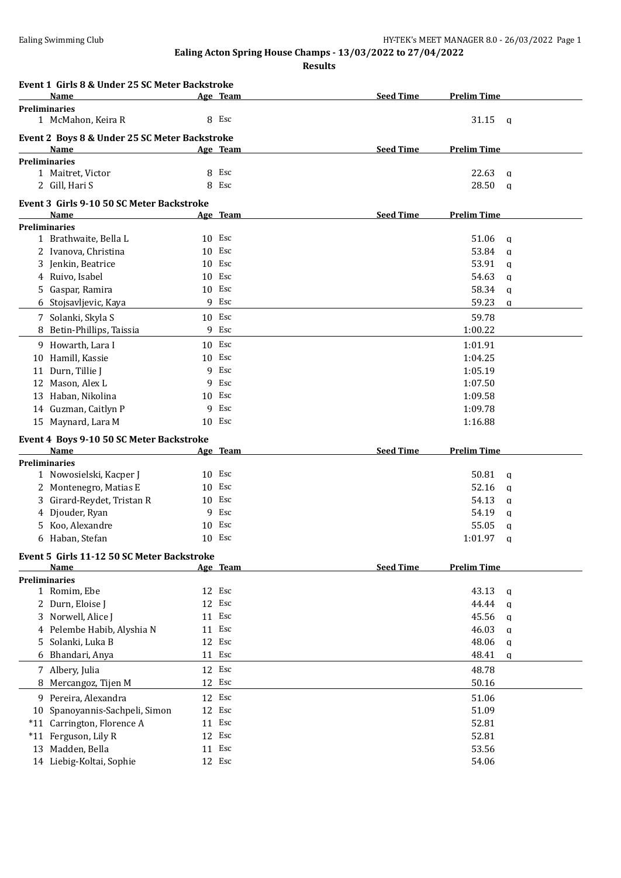**Results**

|    | Event 1 Girls 8 & Under 25 SC Meter Backstroke   |    |                 |                  |                    |
|----|--------------------------------------------------|----|-----------------|------------------|--------------------|
|    | Name                                             |    | <u>Age Team</u> | <b>Seed Time</b> | <b>Prelim Time</b> |
|    | <b>Preliminaries</b><br>1 McMahon, Keira R       |    | 8 Esc           |                  | 31.15<br>q         |
|    | Event 2 Boys 8 & Under 25 SC Meter Backstroke    |    |                 |                  |                    |
|    | Name                                             |    | Age Team        | <b>Seed Time</b> | <b>Prelim Time</b> |
|    | <b>Preliminaries</b>                             |    |                 |                  |                    |
|    | 1 Maitret, Victor                                |    | 8 Esc           |                  | 22.63<br>a         |
|    | 2 Gill, Hari S                                   |    | 8 Esc           |                  | 28.50<br>a         |
|    | Event 3 Girls 9-10 50 SC Meter Backstroke        |    |                 |                  |                    |
|    | Name                                             |    | Age Team        | <b>Seed Time</b> | <b>Prelim Time</b> |
|    | <b>Preliminaries</b><br>1 Brathwaite, Bella L    |    | 10 Esc          |                  | 51.06              |
|    |                                                  |    | 10 Esc          |                  | q<br>53.84         |
|    | 2 Ivanova, Christina<br>3 Jenkin, Beatrice       |    | 10 Esc          |                  | a<br>53.91         |
|    | 4 Ruivo, Isabel                                  |    | $10$ Esc        |                  | q<br>54.63         |
|    | 5 Gaspar, Ramira                                 |    | 10 Esc          |                  | a<br>58.34         |
|    | 6 Stojsavljevic, Kaya                            |    | 9 Esc           |                  | q<br>59.23         |
|    |                                                  |    |                 |                  | a                  |
|    | 7 Solanki, Skyla S                               |    | 10 Esc          |                  | 59.78              |
| 8  | Betin-Phillips, Taissia                          |    | 9 Esc           |                  | 1:00.22            |
|    | 9 Howarth, Lara I                                |    | $10$ Esc        |                  | 1:01.91            |
| 10 | Hamill, Kassie                                   |    | 10 Esc          |                  | 1:04.25            |
|    | 11 Durn, Tillie J                                |    | 9 Esc           |                  | 1:05.19            |
|    | 12 Mason, Alex L                                 |    | 9 Esc           |                  | 1:07.50            |
|    | 13 Haban, Nikolina                               |    | $10$ Esc        |                  | 1:09.58            |
|    | 14 Guzman, Caitlyn P                             |    | 9 Esc           |                  | 1:09.78            |
|    | 15 Maynard, Lara M                               |    | $10$ Esc        |                  | 1:16.88            |
|    | Event 4 Boys 9-10 50 SC Meter Backstroke<br>Name |    | Age Team        | <b>Seed Time</b> | <b>Prelim Time</b> |
|    | <b>Preliminaries</b>                             |    |                 |                  |                    |
|    | 1 Nowosielski, Kacper J                          |    | 10 Esc          |                  | 50.81<br>q         |
|    | 2 Montenegro, Matias E                           |    | 10 Esc          |                  | 52.16<br>a         |
|    | 3 Girard-Reydet, Tristan R                       |    | 10 Esc          |                  | 54.13<br>q         |
| 4  | Djouder, Ryan                                    |    | 9 Esc           |                  | 54.19<br>a         |
|    | 5 Koo, Alexandre                                 |    | 10 Esc          |                  | 55.05<br>q         |
|    | 6 Haban, Stefan                                  |    | $10$ Esc        |                  | 1:01.97<br>q       |
|    | Event 5 Girls 11-12 50 SC Meter Backstroke       |    |                 |                  |                    |
|    | Name                                             |    | Age Team        | <b>Seed Time</b> | <b>Prelim Time</b> |
|    | <b>Preliminaries</b>                             |    |                 |                  |                    |
|    | 1 Romim, Ebe                                     |    | 12 Esc          |                  | 43.13<br>q         |
|    | 2 Durn, Eloise J                                 |    | 12 Esc          |                  | 44.44<br>a         |
|    | 3 Norwell, Alice J                               | 11 | Esc             |                  | 45.56<br>q         |
|    | 4 Pelembe Habib, Alyshia N                       | 11 | Esc             |                  | 46.03<br>a         |
|    | 5 Solanki, Luka B                                |    | 12 Esc          |                  | 48.06<br>q         |
|    | 6 Bhandari, Anya                                 | 11 | Esc             |                  | 48.41<br>a         |
|    | 7 Albery, Julia                                  |    | 12 Esc          |                  | 48.78              |
| 8  | Mercangoz, Tijen M                               |    | 12 Esc          |                  | 50.16              |
|    | 9 Pereira, Alexandra                             |    | 12 Esc          |                  | 51.06              |
|    | 10 Spanoyannis-Sachpeli, Simon                   |    | 12 Esc          |                  | 51.09              |
|    | *11 Carrington, Florence A                       | 11 | Esc             |                  | 52.81              |
|    | *11 Ferguson, Lily R                             |    | 12 Esc          |                  | 52.81              |
|    | 13 Madden, Bella                                 |    | 11 Esc          |                  | 53.56              |
|    | 14 Liebig-Koltai, Sophie                         |    | 12 Esc          |                  | 54.06              |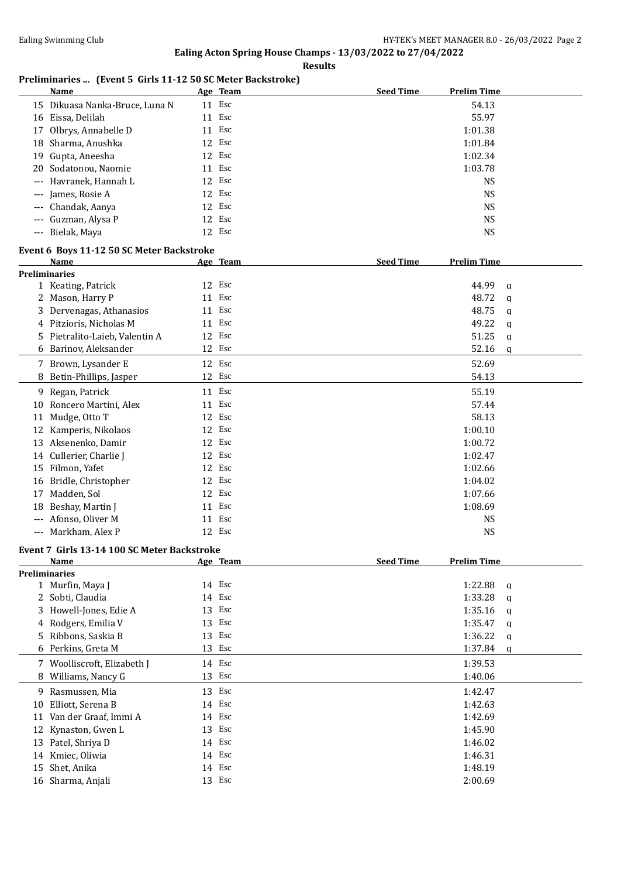**Results**

## **Preliminaries ... (Event 5 Girls 11-12 50 SC Meter Backstroke)**

|                      | Name                                        |    | Age Team | <b>Seed Time</b> | <b>Prelim Time</b> |             |
|----------------------|---------------------------------------------|----|----------|------------------|--------------------|-------------|
|                      | 15 Dikuasa Nanka-Bruce, Luna N              |    | 11 Esc   |                  | 54.13              |             |
|                      | 16 Eissa, Delilah                           |    | 11 Esc   |                  | 55.97              |             |
| 17                   | Olbrys, Annabelle D                         |    | 11 Esc   |                  | 1:01.38            |             |
| 18                   | Sharma, Anushka                             |    | 12 Esc   |                  | 1:01.84            |             |
|                      |                                             |    | 12 Esc   |                  |                    |             |
| 19                   | Gupta, Aneesha                              |    |          |                  | 1:02.34            |             |
| 20                   | Sodatonou, Naomie                           |    | 11 Esc   |                  | 1:03.78            |             |
| $\qquad \qquad - -$  | Havranek, Hannah L                          | 12 | Esc      |                  | <b>NS</b>          |             |
| $---$                | James, Rosie A                              |    | 12 Esc   |                  | <b>NS</b>          |             |
| $---$                | Chandak, Aanya                              |    | 12 Esc   |                  | <b>NS</b>          |             |
|                      | Guzman, Alysa P                             |    | 12 Esc   |                  | <b>NS</b>          |             |
|                      | --- Bielak, Maya                            |    | 12 Esc   |                  | <b>NS</b>          |             |
|                      | Event 6 Boys 11-12 50 SC Meter Backstroke   |    |          |                  |                    |             |
|                      | Name                                        |    | Age Team | <b>Seed Time</b> | <b>Prelim Time</b> |             |
| <b>Preliminaries</b> |                                             |    |          |                  |                    |             |
|                      | 1 Keating, Patrick                          |    | 12 Esc   |                  | 44.99              | q           |
|                      | 2 Mason, Harry P                            |    | 11 Esc   |                  | 48.72              | $\mathbf q$ |
| 3                    | Dervenagas, Athanasios                      |    | 11 Esc   |                  | 48.75              | $\mathbf q$ |
|                      | 4 Pitzioris, Nicholas M                     |    | 11 Esc   |                  | 49.22              | $\mathbf q$ |
|                      | 5 Pietralito-Laieb, Valentin A              |    | 12 Esc   |                  | 51.25              | $\mathbf q$ |
|                      | 6 Barinov, Aleksander                       |    | 12 Esc   |                  | 52.16              | $\mathbf q$ |
|                      | 7 Brown, Lysander E                         |    | 12 Esc   |                  | 52.69              |             |
| 8                    | Betin-Phillips, Jasper                      |    | 12 Esc   |                  | 54.13              |             |
|                      |                                             |    |          |                  |                    |             |
|                      | 9 Regan, Patrick                            |    | 11 Esc   |                  | 55.19              |             |
| 10                   | Roncero Martini, Alex                       |    | 11 Esc   |                  | 57.44              |             |
| 11                   | Mudge, Otto T                               |    | 12 Esc   |                  | 58.13              |             |
|                      | 12 Kamperis, Nikolaos                       |    | 12 Esc   |                  | 1:00.10            |             |
|                      | 13 Aksenenko, Damir                         |    | 12 Esc   |                  | 1:00.72            |             |
|                      | 14 Cullerier, Charlie J                     |    | 12 Esc   |                  | 1:02.47            |             |
| 15                   | Filmon, Yafet                               | 12 | Esc      |                  | 1:02.66            |             |
| 16                   | Bridle, Christopher                         | 12 | Esc      |                  | 1:04.02            |             |
| 17                   | Madden, Sol                                 | 12 | Esc      |                  | 1:07.66            |             |
| 18                   | Beshay, Martin J                            |    | 11 Esc   |                  | 1:08.69            |             |
|                      | --- Afonso, Oliver M                        |    | 11 Esc   |                  |                    |             |
|                      |                                             |    |          |                  | <b>NS</b>          |             |
|                      | --- Markham, Alex P                         |    | 12 Esc   |                  | <b>NS</b>          |             |
|                      | Event 7 Girls 13-14 100 SC Meter Backstroke |    |          |                  |                    |             |
|                      | Name                                        |    | Age Team | <b>Seed Time</b> | <b>Prelim Time</b> |             |
|                      | <b>Preliminaries</b>                        |    |          |                  |                    |             |
|                      | 1 Murfin, Maya J                            |    | 14 Esc   |                  | 1:22.88            | $\mathbf q$ |
|                      | 2 Sobti, Claudia                            |    | 14 Esc   |                  | 1:33.28            | a           |
|                      | 3 Howell-Jones, Edie A                      |    | 13 Esc   |                  | 1:35.16            | q           |
|                      | 4 Rodgers, Emilia V                         | 13 | Esc      |                  | 1:35.47            | $\mathbf q$ |
| 5.                   | Ribbons, Saskia B                           |    | 13 Esc   |                  | 1:36.22            | $\mathbf q$ |
|                      | 6 Perkins, Greta M                          |    | 13 Esc   |                  | 1:37.84            | $\mathbf q$ |
|                      | 7 Woolliscroft, Elizabeth J                 |    | 14 Esc   |                  | 1:39.53            |             |
| 8                    | Williams, Nancy G                           |    | 13 Esc   |                  | 1:40.06            |             |
|                      | 9 Rasmussen, Mia                            |    | 13 Esc   |                  | 1:42.47            |             |
| 10                   | Elliott, Serena B                           |    | 14 Esc   |                  | 1:42.63            |             |
|                      | Van der Graaf, Immi A                       |    | 14 Esc   |                  | 1:42.69            |             |
| 11                   |                                             |    |          |                  |                    |             |
| 12                   | Kynaston, Gwen L                            |    | 13 Esc   |                  | 1:45.90            |             |
|                      | 13 Patel, Shriya D                          |    | 14 Esc   |                  | 1:46.02            |             |
|                      | 14 Kmiec, Oliwia                            |    | 14 Esc   |                  | 1:46.31            |             |
| 15                   | Shet, Anika                                 |    | 14 Esc   |                  | 1:48.19            |             |
|                      | 16 Sharma, Anjali                           |    | 13 Esc   |                  | 2:00.69            |             |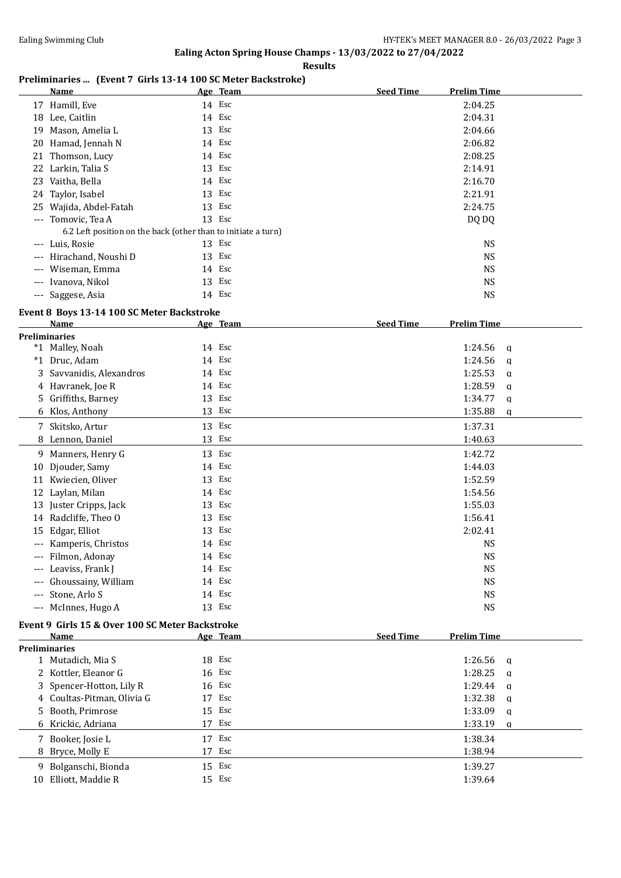**Results**

## **Preliminaries ... (Event 7 Girls 13-14 100 SC Meter Backstroke)**

|                     | Name                                                          | Age Team | <b>Seed Time</b> | <b>Prelim Time</b> |
|---------------------|---------------------------------------------------------------|----------|------------------|--------------------|
|                     | 17 Hamill, Eve                                                | 14 Esc   |                  | 2:04.25            |
|                     | 18 Lee, Caitlin                                               | 14 Esc   |                  | 2:04.31            |
| 19                  | Mason, Amelia L                                               | 13 Esc   |                  | 2:04.66            |
|                     | 20 Hamad, Jennah N                                            | 14 Esc   |                  | 2:06.82            |
|                     | 21 Thomson, Lucy                                              | 14 Esc   |                  | 2:08.25            |
|                     | 22 Larkin, Talia S                                            | 13 Esc   |                  | 2:14.91            |
|                     | 23 Vaitha, Bella                                              | 14 Esc   |                  | 2:16.70            |
|                     | 24 Taylor, Isabel                                             | 13 Esc   |                  | 2:21.91            |
|                     | 25 Wajida, Abdel-Fatah                                        | 13 Esc   |                  | 2:24.75            |
|                     | --- Tomovic, Tea A                                            | 13 Esc   |                  | DQ DQ              |
|                     | 6.2 Left position on the back (other than to initiate a turn) |          |                  |                    |
| $---$               | Luis, Rosie                                                   | 13 Esc   |                  | <b>NS</b>          |
|                     | --- Hirachand, Noushi D                                       | 13 Esc   |                  | <b>NS</b>          |
| $\qquad \qquad - -$ | Wiseman, Emma                                                 | 14 Esc   |                  | <b>NS</b>          |
|                     | --- Ivanova, Nikol                                            | 13 Esc   |                  | <b>NS</b>          |
|                     | --- Saggese, Asia                                             | 14 Esc   |                  | <b>NS</b>          |

## **Event 8 Boys 13-14 100 SC Meter Backstroke**

|       | <b>Name</b>                                     |    | Age Team | <b>Seed Time</b><br><b>Prelim Time</b> |  |
|-------|-------------------------------------------------|----|----------|----------------------------------------|--|
|       | <b>Preliminaries</b>                            |    |          |                                        |  |
|       | *1 Malley, Noah                                 |    | 14 Esc   | 1:24.56<br>a                           |  |
|       | *1 Druc, Adam                                   |    | 14 Esc   | 1:24.56<br>a                           |  |
|       | 3 Savvanidis, Alexandros                        |    | 14 Esc   | 1:25.53<br>a                           |  |
|       | 4 Havranek, Joe R                               |    | 14 Esc   | 1:28.59<br>a                           |  |
|       | 5 Griffiths, Barney                             |    | 13 Esc   | 1:34.77<br>a                           |  |
|       | 6 Klos, Anthony                                 | 13 | Esc      | 1:35.88<br>a                           |  |
|       | 7 Skitsko, Artur                                |    | 13 Esc   | 1:37.31                                |  |
|       | 8 Lennon, Daniel                                |    | 13 Esc   | 1:40.63                                |  |
|       | 9 Manners, Henry G                              |    | 13 Esc   | 1:42.72                                |  |
| 10    | Djouder, Samy                                   |    | 14 Esc   | 1:44.03                                |  |
| 11    | Kwiecien, Oliver                                |    | 13 Esc   | 1:52.59                                |  |
|       | 12 Laylan, Milan                                |    | 14 Esc   | 1:54.56                                |  |
| 13    | Juster Cripps, Jack                             |    | 13 Esc   | 1:55.03                                |  |
| 14    | Radcliffe, Theo O                               |    | 13 Esc   | 1:56.41                                |  |
| 15    | Edgar, Elliot                                   |    | 13 Esc   | 2:02.41                                |  |
|       | Kamperis, Christos                              |    | 14 Esc   | <b>NS</b>                              |  |
| ---   | Filmon, Adonay                                  |    | 14 Esc   | <b>NS</b>                              |  |
| $---$ | Leaviss, Frank J                                |    | 14 Esc   | <b>NS</b>                              |  |
|       | Ghoussainy, William                             |    | 14 Esc   | <b>NS</b>                              |  |
| ---   | Stone, Arlo S                                   |    | 14 Esc   | <b>NS</b>                              |  |
| $---$ | McInnes, Hugo A                                 |    | 13 Esc   | <b>NS</b>                              |  |
|       | Event 9 Girls 15 & Over 100 SC Meter Backstroke |    |          |                                        |  |

### **Age Team Seed Time Prelim Time Preliminaries** 1 Mutadich, Mia S 18 Esc 1:26.56 q 2 Kottler, Eleanor G 16 Esc 1:28.25 q 3 Spencer-Hotton, Lily R 16 Esc 1:29.44 q 4 Coultas-Pitman, Olivia G 17 Esc 1:32.38 q 5 Booth, Primrose 15 Esc 1:33.09 q 6 Krickic, Adriana 17 Esc 1:33.19 q 7 Booker, Josie L 17 Esc 1:38.34 8 Bryce, Molly E 17 Esc 1:38.94 9 Bolganschi, Bionda 15 Esc 1:39.27 10 Elliott, Maddie R 15 Esc 1:39.64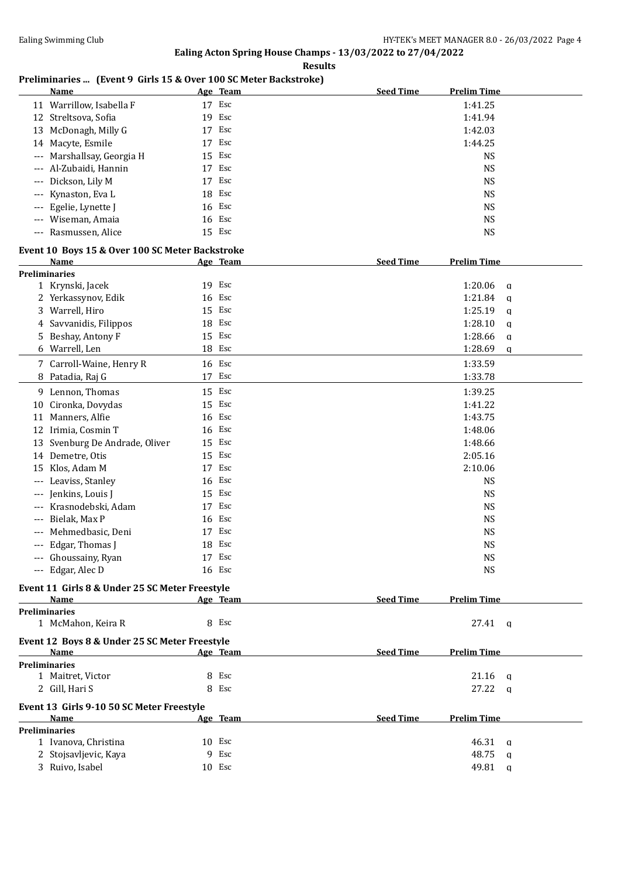**Results**

## **Preliminaries ... (Event 9 Girls 15 & Over 100 SC Meter Backstroke)**

|                      | Name                                            |    | Age Team | <b>Seed Time</b> | <b>Prelim Time</b>    |  |
|----------------------|-------------------------------------------------|----|----------|------------------|-----------------------|--|
|                      | 11 Warrillow, Isabella F                        |    | 17 Esc   |                  | 1:41.25               |  |
|                      | 12 Streltsova, Sofia                            |    | 19 Esc   |                  | 1:41.94               |  |
|                      | 13 McDonagh, Milly G                            |    | 17 Esc   |                  | 1:42.03               |  |
|                      | 14 Macyte, Esmile                               | 17 | Esc      |                  | 1:44.25               |  |
| $\cdots$             | Marshallsay, Georgia H                          | 15 | Esc      |                  | <b>NS</b>             |  |
| ---                  | Al-Zubaidi, Hannin                              | 17 | Esc      |                  | <b>NS</b>             |  |
| $---$                | Dickson, Lily M                                 | 17 | Esc      |                  | <b>NS</b>             |  |
| $---$                | Kynaston, Eva L                                 |    | 18 Esc   |                  | <b>NS</b>             |  |
|                      | Egelie, Lynette J                               |    | 16 Esc   |                  | <b>NS</b>             |  |
|                      | Wiseman, Amaia                                  |    | 16 Esc   |                  | <b>NS</b>             |  |
| $\qquad \qquad - -$  | Rasmussen, Alice                                |    | 15 Esc   |                  | <b>NS</b>             |  |
|                      |                                                 |    |          |                  |                       |  |
|                      | Event 10 Boys 15 & Over 100 SC Meter Backstroke |    |          |                  |                       |  |
|                      | <b>Name</b>                                     |    | Age Team | <b>Seed Time</b> | <b>Prelim Time</b>    |  |
| <b>Preliminaries</b> |                                                 |    |          |                  |                       |  |
|                      | 1 Krynski, Jacek                                |    | 19 Esc   |                  | 1:20.06<br>q          |  |
|                      | 2 Yerkassynov, Edik                             | 16 | Esc      |                  | 1:21.84<br>a          |  |
| 3                    | Warrell, Hiro                                   |    | 15 Esc   |                  | 1:25.19<br>a          |  |
| 4                    | Savvanidis, Filippos                            | 18 | Esc      |                  | 1:28.10<br>a          |  |
| 5                    | Beshay, Antony F                                | 15 | Esc      |                  | 1:28.66<br>a          |  |
|                      | 6 Warrell, Len                                  |    | 18 Esc   |                  | 1:28.69<br>q          |  |
|                      | 7 Carroll-Waine, Henry R                        |    | 16 Esc   |                  | 1:33.59               |  |
| 8                    | Patadia, Raj G                                  |    | 17 Esc   |                  | 1:33.78               |  |
|                      | 9 Lennon, Thomas                                |    | 15 Esc   |                  | 1:39.25               |  |
| 10                   | Cironka, Dovydas                                |    | 15 Esc   |                  | 1:41.22               |  |
| 11                   | Manners, Alfie                                  | 16 | Esc      |                  | 1:43.75               |  |
|                      | 12 Irimia, Cosmin T                             | 16 | Esc      |                  | 1:48.06               |  |
| 13                   | Svenburg De Andrade, Oliver                     | 15 | Esc      |                  | 1:48.66               |  |
|                      | 14 Demetre, Otis                                | 15 | Esc      |                  | 2:05.16               |  |
| 15                   | Klos, Adam M                                    | 17 | Esc      |                  | 2:10.06               |  |
| $---$                | Leaviss, Stanley                                | 16 | Esc      |                  | <b>NS</b>             |  |
|                      | Jenkins, Louis J                                | 15 | Esc      |                  | <b>NS</b>             |  |
| $---$                | Krasnodebski, Adam                              | 17 | Esc      |                  | <b>NS</b>             |  |
| $---$                | Bielak, Max P                                   | 16 | Esc      |                  | <b>NS</b>             |  |
|                      | Mehmedbasic, Deni                               |    | 17 Esc   |                  | <b>NS</b>             |  |
| ---                  | Edgar, Thomas J                                 |    | 18 Esc   |                  | <b>NS</b>             |  |
|                      | --- Ghoussainy, Ryan                            |    | 17 Esc   |                  | <b>NS</b>             |  |
|                      | --- Edgar, Alec D                               |    | 16 Esc   |                  | <b>NS</b>             |  |
|                      |                                                 |    |          |                  |                       |  |
|                      | Event 11 Girls 8 & Under 25 SC Meter Freestyle  |    |          |                  |                       |  |
|                      | Name                                            |    | Age Team | <b>Seed Time</b> | <b>Prelim Time</b>    |  |
| <b>Preliminaries</b> |                                                 |    |          |                  |                       |  |
|                      | 1 McMahon, Keira R                              |    | 8 Esc    |                  | $27.41 \quad q$       |  |
|                      | Event 12 Boys 8 & Under 25 SC Meter Freestyle   |    |          |                  |                       |  |
|                      | <b>Name</b>                                     |    | Age Team | <b>Seed Time</b> | <b>Prelim Time</b>    |  |
|                      | <b>Preliminaries</b>                            |    |          |                  |                       |  |
|                      | 1 Maitret, Victor                               |    | 8 Esc    |                  | 21.16<br>a            |  |
|                      | 2 Gill, Hari S                                  |    | 8 Esc    |                  | 27.22<br>q            |  |
|                      | Event 13 Girls 9-10 50 SC Meter Freestyle       |    |          |                  |                       |  |
|                      | <b>Name</b>                                     |    | Age Team | <b>Seed Time</b> | <b>Prelim Time</b>    |  |
| <b>Preliminaries</b> |                                                 |    |          |                  |                       |  |
|                      | 1 Ivanova, Christina                            |    | 10 Esc   |                  | 46.31<br>a            |  |
|                      | 2 Stojsavljevic, Kaya                           |    | 9 Esc    |                  | 48.75<br>a            |  |
|                      | 3 Ruivo, Isabel                                 |    | 10 Esc   |                  | 49.81<br>$\mathbf{q}$ |  |
|                      |                                                 |    |          |                  |                       |  |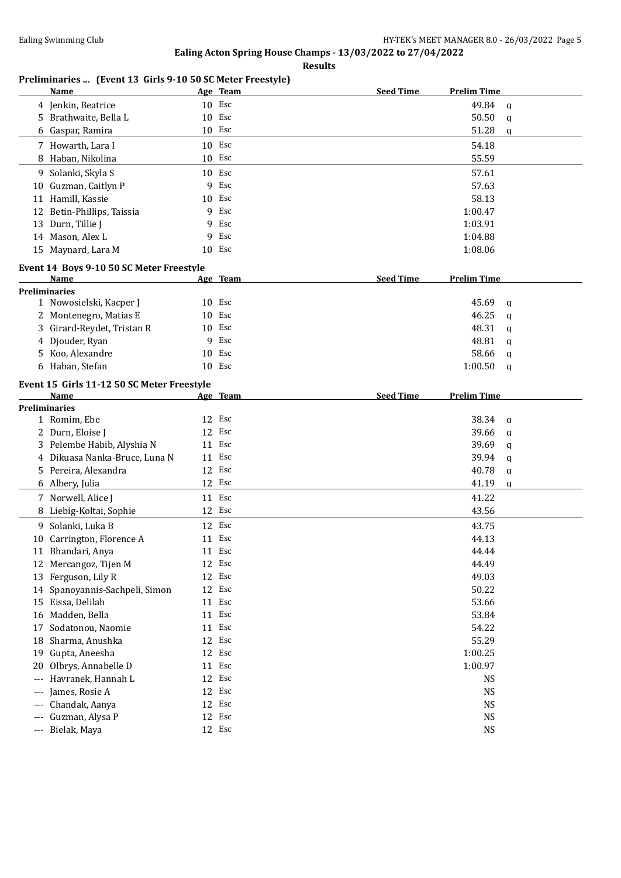**Results**

## **Preliminaries ... (Event 13 Girls 9-10 50 SC Meter Freestyle)**

|                      | Name                                       |        | Age Team | <b>Seed Time</b> | <b>Prelim Time</b> |              |
|----------------------|--------------------------------------------|--------|----------|------------------|--------------------|--------------|
|                      | 4 Jenkin, Beatrice                         |        | 10 Esc   |                  | 49.84              | $\mathbf q$  |
|                      | 5 Brathwaite, Bella L                      |        | 10 Esc   |                  | 50.50              | $\mathbf q$  |
| 6                    | Gaspar, Ramira                             | 10 Esc |          |                  | 51.28              | $\alpha$     |
|                      | 7 Howarth, Lara I                          |        | 10 Esc   |                  | 54.18              |              |
|                      | 8 Haban, Nikolina                          |        | 10 Esc   |                  | 55.59              |              |
|                      | 9 Solanki, Skyla S                         | 10 Esc |          |                  | 57.61              |              |
|                      | 10 Guzman, Caitlyn P                       | 9      | Esc      |                  | 57.63              |              |
|                      | 11 Hamill, Kassie                          | 10 Esc |          |                  | 58.13              |              |
| 12                   | Betin-Phillips, Taissia                    | 9      | Esc      |                  | 1:00.47            |              |
| 13                   | Durn, Tillie J                             | 9      | Esc      |                  | 1:03.91            |              |
|                      | 14 Mason, Alex L                           | 9      | Esc      |                  | 1:04.88            |              |
|                      | 15 Maynard, Lara M                         | 10 Esc |          |                  | 1:08.06            |              |
|                      |                                            |        |          |                  |                    |              |
|                      | Event 14 Boys 9-10 50 SC Meter Freestyle   |        |          |                  |                    |              |
|                      | Name                                       |        | Age Team | <b>Seed Time</b> | <b>Prelim Time</b> |              |
|                      | <b>Preliminaries</b>                       |        |          |                  |                    |              |
|                      | 1 Nowosielski, Kacper J                    | 10 Esc |          |                  | 45.69              | $\mathbf q$  |
| 2                    | Montenegro, Matias E                       | 10     | Esc      |                  | 46.25              | $\mathbf{q}$ |
| 3                    | Girard-Reydet, Tristan R                   | 10     | Esc      |                  | 48.31              | $\mathbf{q}$ |
| 4                    | Djouder, Ryan                              | 9      | Esc      |                  | 48.81              | $\mathbf{q}$ |
| 5                    | Koo, Alexandre                             | 10     | Esc      |                  | 58.66              | q            |
|                      | 6 Haban, Stefan                            |        | $10$ Esc |                  | 1:00.50            | $\mathbf{q}$ |
|                      | Event 15 Girls 11-12 50 SC Meter Freestyle |        |          |                  |                    |              |
|                      | Name                                       |        | Age Team | <b>Seed Time</b> | <b>Prelim Time</b> |              |
|                      | <b>Preliminaries</b>                       |        |          |                  |                    |              |
|                      | 1 Romim, Ebe                               | 12 Esc |          |                  | 38.34              | $\mathbf{q}$ |
|                      | 2 Durn, Eloise J                           | 12     | Esc      |                  | 39.66              | $\mathbf{q}$ |
|                      | 3 Pelembe Habib, Alyshia N                 | 11 Esc |          |                  | 39.69              | q            |
|                      | 4 Dikuasa Nanka-Bruce, Luna N              | 11 Esc |          |                  | 39.94              | $\mathbf{q}$ |
|                      | 5 Pereira, Alexandra                       |        | 12 Esc   |                  | 40.78              | q            |
|                      | 6 Albery, Julia                            | 12 Esc |          |                  | 41.19              | $\mathbf q$  |
|                      | 7 Norwell, Alice J                         | 11 Esc |          |                  | 41.22              |              |
| 8                    | Liebig-Koltai, Sophie                      |        | 12 Esc   |                  | 43.56              |              |
| 9                    | Solanki, Luka B                            |        | 12 Esc   |                  | 43.75              |              |
|                      | 10 Carrington, Florence A                  | 11 Esc |          |                  | 44.13              |              |
|                      | 11 Bhandari, Anya                          |        | 11 Esc   |                  | 44.44              |              |
|                      | 12 Mercangoz, Tijen M                      |        | 12 Esc   |                  | 44.49              |              |
|                      | 13 Ferguson, Lily R                        | 12     | Esc      |                  | 49.03              |              |
| 14                   | Spanoyannis-Sachpeli, Simon                |        | 12 Esc   |                  | 50.22              |              |
| 15                   | Eissa, Delilah                             |        | 11 Esc   |                  | 53.66              |              |
| 16                   | Madden, Bella                              |        | 11 Esc   |                  | 53.84              |              |
| 17                   | Sodatonou, Naomie                          | 11     | Esc      |                  | 54.22              |              |
| 18                   | Sharma, Anushka                            |        | 12 Esc   |                  | 55.29              |              |
| 19                   | Gupta, Aneesha                             | 12     | Esc      |                  | 1:00.25            |              |
| 20                   | Olbrys, Annabelle D                        | 11     | Esc      |                  | 1:00.97            |              |
| $---$                | Havranek, Hannah L                         | 12     | Esc      |                  | <b>NS</b>          |              |
| $---$                | James, Rosie A                             | 12     | Esc      |                  | <b>NS</b>          |              |
| $---$                | Chandak, Aanya                             | 12     | Esc      |                  | <b>NS</b>          |              |
| $---$                | Guzman, Alysa P                            | 12     | Esc      |                  | <b>NS</b>          |              |
| $\scriptstyle\cdots$ | Bielak, Maya                               |        | 12 Esc   |                  | <b>NS</b>          |              |
|                      |                                            |        |          |                  |                    |              |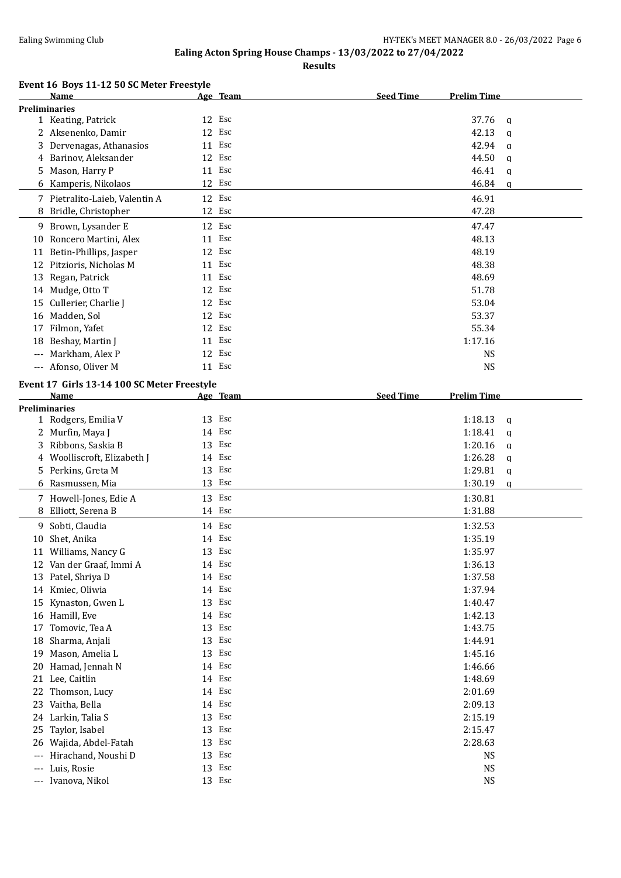**Results**

## **Event 16 Boys 11-12 50 SC Meter Freestyle**

|                      | <b>Name</b>                                 |        | Age Team | <b>Seed Time</b> | <b>Prelim Time</b> |              |
|----------------------|---------------------------------------------|--------|----------|------------------|--------------------|--------------|
| <b>Preliminaries</b> |                                             |        |          |                  |                    |              |
|                      | 1 Keating, Patrick                          | 12 Esc |          |                  | 37.76              | $\mathbf{q}$ |
|                      | 2 Aksenenko, Damir                          | 12 Esc |          |                  | 42.13              | $\mathbf{q}$ |
| 3                    | Dervenagas, Athanasios                      | 11 Esc |          |                  | 42.94              | $\mathbf{q}$ |
| 4                    | Barinov, Aleksander                         | 12 Esc |          |                  | 44.50              | $\mathbf{q}$ |
| 5.                   | Mason, Harry P                              | 11 Esc |          |                  | 46.41              | q            |
|                      |                                             | 12 Esc |          |                  | 46.84              |              |
|                      | 6 Kamperis, Nikolaos                        |        |          |                  |                    | $\mathbf q$  |
|                      | 7 Pietralito-Laieb, Valentin A              | 12 Esc |          |                  | 46.91              |              |
| 8                    | Bridle, Christopher                         | 12 Esc |          |                  | 47.28              |              |
|                      | 9 Brown, Lysander E                         | 12 Esc |          |                  | 47.47              |              |
| 10                   | Roncero Martini, Alex                       | 11 Esc |          |                  | 48.13              |              |
| 11                   | Betin-Phillips, Jasper                      | 12 Esc |          |                  | 48.19              |              |
|                      | 12 Pitzioris, Nicholas M                    | 11 Esc |          |                  | 48.38              |              |
| 13                   | Regan, Patrick                              | 11 Esc |          |                  | 48.69              |              |
|                      | 14 Mudge, Otto T                            | 12 Esc |          |                  | 51.78              |              |
|                      |                                             |        | Esc      |                  |                    |              |
| 15                   | Cullerier, Charlie J                        | 12     |          |                  | 53.04              |              |
|                      | 16 Madden, Sol                              | 12     | Esc      |                  | 53.37              |              |
| 17                   | Filmon, Yafet                               | 12 Esc |          |                  | 55.34              |              |
| 18                   | Beshay, Martin J                            | 11 Esc |          |                  | 1:17.16            |              |
|                      | --- Markham, Alex P                         | 12 Esc |          |                  | <b>NS</b>          |              |
|                      | --- Afonso, Oliver M                        | 11 Esc |          |                  | NS                 |              |
|                      | Event 17 Girls 13-14 100 SC Meter Freestyle |        |          |                  |                    |              |
|                      | Name                                        |        |          | <b>Seed Time</b> | <b>Prelim Time</b> |              |
|                      |                                             |        | Age Team |                  |                    |              |
| <b>Preliminaries</b> |                                             | 13 Esc |          |                  |                    |              |
|                      | 1 Rodgers, Emilia V                         |        |          |                  | 1:18.13            | a            |
|                      | 2 Murfin, Maya J                            | 14 Esc |          |                  | 1:18.41            | q            |
| 3                    | Ribbons, Saskia B                           | 13 Esc |          |                  | 1:20.16            | $\mathbf q$  |
|                      | 4 Woolliscroft, Elizabeth J                 | 14 Esc |          |                  | 1:26.28            | q            |
|                      | 5 Perkins, Greta M                          | 13 Esc |          |                  | 1:29.81            | $\mathbf q$  |
|                      | 6 Rasmussen, Mia                            | 13 Esc |          |                  | 1:30.19            | q            |
|                      | 7 Howell-Jones, Edie A                      | 13 Esc |          |                  | 1:30.81            |              |
| 8                    | Elliott, Serena B                           | 14 Esc |          |                  | 1:31.88            |              |
|                      | 9 Sobti, Claudia                            | 14 Esc |          |                  | 1:32.53            |              |
|                      | Shet, Anika                                 | 14 Esc |          |                  | 1:35.19            |              |
| 10                   |                                             |        |          |                  |                    |              |
|                      | 11 Williams, Nancy G                        | 13 Esc |          |                  | 1:35.97            |              |
|                      | 12 Van der Graaf, Immi A                    | 14 Esc |          |                  | 1:36.13            |              |
|                      | 13 Patel, Shriya D                          | 14 Esc |          |                  | 1:37.58            |              |
|                      | 14 Kmiec, Oliwia                            | 14 Esc |          |                  | 1:37.94            |              |
| 15                   | Kynaston, Gwen L                            | 13 Esc |          |                  | 1:40.47            |              |
|                      | 16 Hamill, Eve                              | 14 Esc |          |                  | 1:42.13            |              |
| 17                   | Tomovic, Tea A                              | 13     | Esc      |                  | 1:43.75            |              |
| 18                   | Sharma, Anjali                              | 13     | Esc      |                  | 1:44.91            |              |
| 19                   | Mason, Amelia L                             | 13     | Esc      |                  | 1:45.16            |              |
| 20                   | Hamad, Jennah N                             | 14     | Esc      |                  | 1:46.66            |              |
|                      | 21 Lee, Caitlin                             | 14 Esc |          |                  | 1:48.69            |              |
|                      | 22 Thomson, Lucy                            | 14 Esc |          |                  | 2:01.69            |              |
| 23                   | Vaitha, Bella                               | 14 Esc |          |                  | 2:09.13            |              |
|                      | 24 Larkin, Talia S                          | 13     | Esc      |                  |                    |              |
|                      |                                             |        |          |                  | 2:15.19            |              |
| 25                   | Taylor, Isabel                              | 13     | Esc      |                  | 2:15.47            |              |
| 26                   | Wajida, Abdel-Fatah                         | 13     | Esc      |                  | 2:28.63            |              |
| $\qquad \qquad - -$  | Hirachand, Noushi D                         | 13 Esc |          |                  | NS                 |              |
| ---                  | Luis, Rosie                                 | 13 Esc |          |                  | NS                 |              |
|                      | --- Ivanova, Nikol                          | 13 Esc |          |                  | <b>NS</b>          |              |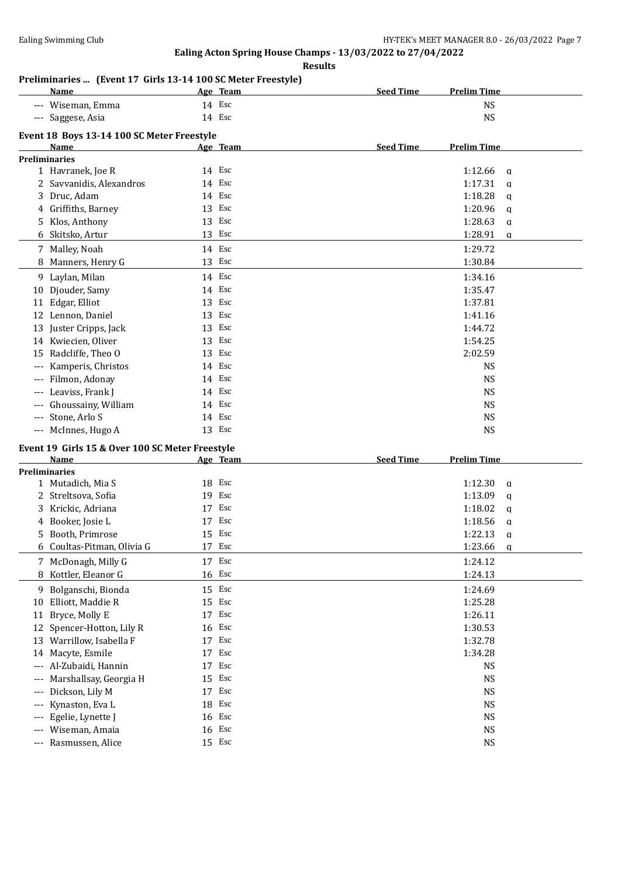**Results**

# **Preliminaries ... (Event 17 Girls 13-14 100 SC Meter Freestyle)**

|       | Name                                            |          | Age Team   | <b>Seed Time</b> | <b>Prelim Time</b>     |              |
|-------|-------------------------------------------------|----------|------------|------------------|------------------------|--------------|
|       | Wiseman, Emma                                   | 14 Esc   |            |                  | <b>NS</b>              |              |
| $---$ | Saggese, Asia                                   | 14 Esc   |            |                  | <b>NS</b>              |              |
|       | Event 18 Boys 13-14 100 SC Meter Freestyle      |          |            |                  |                        |              |
|       | Name                                            |          | Age Team   | <b>Seed Time</b> | <b>Prelim Time</b>     |              |
|       | <b>Preliminaries</b>                            |          |            |                  |                        |              |
|       | 1 Havranek, Joe R                               | 14 Esc   |            |                  | 1:12.66                | $\mathbf q$  |
|       | 2 Savvanidis, Alexandros                        | 14 Esc   |            |                  | 1:17.31                | $\mathbf q$  |
|       | 3 Druc, Adam                                    | 14 Esc   |            |                  | 1:18.28                | $\mathbf{q}$ |
|       | 4 Griffiths, Barney                             | 13 Esc   |            |                  | 1:20.96                | $\mathbf q$  |
|       | 5 Klos, Anthony                                 | 13 Esc   |            |                  | 1:28.63                | $\mathbf q$  |
|       | 6 Skitsko, Artur                                | 13 Esc   |            |                  | 1:28.91                | $\mathbf q$  |
|       | 7 Malley, Noah                                  | 14 Esc   |            |                  | 1:29.72                |              |
|       | 8 Manners, Henry G                              | 13 Esc   |            |                  | 1:30.84                |              |
|       |                                                 |          |            |                  |                        |              |
|       | 9 Laylan, Milan                                 | 14 Esc   |            |                  | 1:34.16                |              |
|       | 10 Djouder, Samy                                | 14 Esc   |            |                  | 1:35.47                |              |
|       | 11 Edgar, Elliot                                | 13       | Esc        |                  | 1:37.81                |              |
|       | 12 Lennon, Daniel                               | 13       | Esc        |                  | 1:41.16                |              |
|       | 13 Juster Cripps, Jack                          | 13       | Esc        |                  | 1:44.72                |              |
|       | 14 Kwiecien, Oliver                             | 13 Esc   |            |                  | 1:54.25                |              |
|       | 15 Radcliffe, Theo O                            | 13 Esc   |            |                  | 2:02.59                |              |
|       | Kamperis, Christos                              | 14 Esc   |            |                  | <b>NS</b>              |              |
|       | Filmon, Adonay                                  | 14 Esc   |            |                  | <b>NS</b>              |              |
| $---$ | Leaviss, Frank J                                | 14 Esc   |            |                  | <b>NS</b>              |              |
| $---$ | Ghoussainy, William                             | 14 Esc   |            |                  | <b>NS</b>              |              |
|       |                                                 |          |            |                  |                        |              |
| ---   | Stone, Arlo S                                   | 14 Esc   |            |                  | <b>NS</b>              |              |
|       | --- McInnes, Hugo A                             | 13 Esc   |            |                  | <b>NS</b>              |              |
|       | Event 19 Girls 15 & Over 100 SC Meter Freestyle |          |            |                  |                        |              |
|       | Name                                            |          | Age Team   | <b>Seed Time</b> | <b>Prelim Time</b>     |              |
|       | <b>Preliminaries</b>                            |          |            |                  |                        |              |
|       | 1 Mutadich, Mia S                               | 18 Esc   |            |                  | 1:12.30                | $\mathbf q$  |
|       | 2 Streltsova, Sofia                             | 19 Esc   |            |                  | 1:13.09                | $\mathbf q$  |
|       | 3 Krickic, Adriana                              | 17 Esc   |            |                  | 1:18.02                | $\alpha$     |
|       | 4 Booker, Josie L                               | 17 Esc   |            |                  | 1:18.56                | q            |
| 5.    | Booth, Primrose                                 | 15       | Esc        |                  | 1:22.13                | $\mathbf{q}$ |
|       | 6 Coultas-Pitman, Olivia G                      | 17 Esc   |            |                  | 1:23.66                | a            |
|       | 7 McDonagh, Milly G                             | 17 Esc   |            |                  | 1:24.12                |              |
|       | 8 Kottler, Eleanor G                            | 16 Esc   |            |                  | 1:24.13                |              |
|       |                                                 |          |            |                  |                        |              |
|       | 9 Bolganschi, Bionda                            | 15 Esc   |            |                  | 1:24.69                |              |
| 10    | Elliott, Maddie R                               |          | 15 Esc     |                  | 1:25.28                |              |
| 11    | Bryce, Molly E                                  | 17 Esc   |            |                  | 1:26.11                |              |
| 12    | Spencer-Hotton, Lily R                          | 16<br>17 | Esc<br>Esc |                  | 1:30.53                |              |
|       | 13 Warrillow, Isabella F                        | 17       | Esc        |                  | 1:32.78                |              |
|       | 14 Macyte, Esmile                               | 17       | Esc        |                  | 1:34.28                |              |
| $---$ | --- Al-Zubaidi, Hannin                          |          |            |                  | <b>NS</b>              |              |
| ---   | Marshallsay, Georgia H                          | 15       | Esc        |                  | <b>NS</b>              |              |
| ---   | Dickson, Lily M                                 | 17 Esc   |            |                  | <b>NS</b>              |              |
| ---   | Kynaston, Eva L                                 | 18 Esc   |            |                  | <b>NS</b>              |              |
| ---   | Egelie, Lynette J                               | 16 Esc   |            |                  | <b>NS</b>              |              |
| ---   | Wiseman, Amaia<br>Rasmussen, Alice              | 16 Esc   | 15 Esc     |                  | <b>NS</b><br><b>NS</b> |              |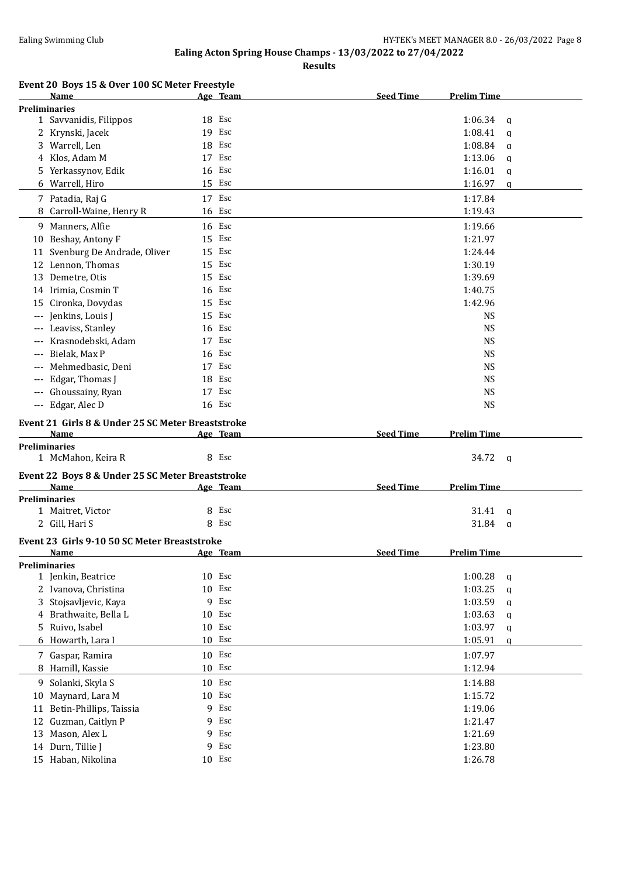**Results**

|  | Event 20 Boys 15 & Over 100 SC Meter Freestyle |  |
|--|------------------------------------------------|--|
|  |                                                |  |

|       | Name                                                      |        | Age Team | <b>Seed Time</b> | <b>Prelim Time</b>   |              |
|-------|-----------------------------------------------------------|--------|----------|------------------|----------------------|--------------|
|       | <b>Preliminaries</b>                                      |        |          |                  |                      |              |
|       | 1 Savvanidis, Filippos                                    | 18 Esc |          |                  | 1:06.34              | a            |
|       | 2 Krynski, Jacek                                          | 19 Esc |          |                  | 1:08.41              | $\mathbf{q}$ |
|       | 3 Warrell, Len                                            | 18 Esc |          |                  | 1:08.84              | $\mathbf{q}$ |
|       | 4 Klos, Adam M                                            | 17 Esc |          |                  | 1:13.06              | $\mathbf{q}$ |
|       | 5 Yerkassynov, Edik                                       | 16 Esc |          |                  | 1:16.01              | q            |
|       | 6 Warrell, Hiro                                           | 15 Esc |          |                  | 1:16.97              | $\mathbf q$  |
|       | 7 Patadia, Raj G                                          | 17 Esc |          |                  | 1:17.84              |              |
| 8     | Carroll-Waine, Henry R                                    | 16 Esc |          |                  | 1:19.43              |              |
|       | 9 Manners, Alfie                                          | 16 Esc |          |                  | 1:19.66              |              |
|       |                                                           | 15 Esc |          |                  | 1:21.97              |              |
| 10    | Beshay, Antony F                                          | 15 Esc |          |                  |                      |              |
|       | 11 Svenburg De Andrade, Oliver                            |        |          |                  | 1:24.44              |              |
|       | 12 Lennon, Thomas                                         | 15 Esc |          |                  | 1:30.19              |              |
|       | 13 Demetre, Otis                                          | 15 Esc |          |                  | 1:39.69              |              |
|       | 14 Irimia, Cosmin T                                       | 16 Esc |          |                  | 1:40.75              |              |
| 15    | Cironka, Dovydas                                          | 15 Esc |          |                  | 1:42.96              |              |
| $---$ | Jenkins, Louis J                                          | 15 Esc |          |                  | <b>NS</b>            |              |
|       | Leaviss, Stanley                                          | 16 Esc |          |                  | <b>NS</b>            |              |
|       | Krasnodebski, Adam                                        | 17 Esc |          |                  | <b>NS</b>            |              |
|       | Bielak, Max P                                             | 16 Esc |          |                  | <b>NS</b>            |              |
|       | Mehmedbasic, Deni                                         | 17 Esc |          |                  | <b>NS</b>            |              |
| $---$ | Edgar, Thomas J                                           | 18 Esc |          |                  | <b>NS</b>            |              |
| $---$ | Ghoussainy, Ryan                                          | 17 Esc |          |                  | <b>NS</b>            |              |
| $---$ | Edgar, Alec D                                             | 16 Esc |          |                  | <b>NS</b>            |              |
|       |                                                           |        |          |                  |                      |              |
|       | Event 21 Girls 8 & Under 25 SC Meter Breaststroke<br>Name |        |          | <b>Seed Time</b> | <b>Prelim Time</b>   |              |
|       | <b>Preliminaries</b>                                      |        | Age Team |                  |                      |              |
|       | 1 McMahon, Keira R                                        |        | 8 Esc    |                  | 34.72<br>$\mathbf q$ |              |
|       |                                                           |        |          |                  |                      |              |
|       | Event 22 Boys 8 & Under 25 SC Meter Breaststroke          |        |          |                  |                      |              |
|       | Name                                                      |        | Age Team | <b>Seed Time</b> | <b>Prelim Time</b>   |              |
|       | <b>Preliminaries</b>                                      |        |          |                  |                      |              |
|       | 1 Maitret, Victor                                         | 8      | Esc      |                  | 31.41                | a            |
|       | 2 Gill, Hari S                                            |        | 8 Esc    |                  | 31.84                | q            |
|       | Event 23 Girls 9-10 50 SC Meter Breaststroke              |        |          |                  |                      |              |
|       | Name                                                      |        | Age Team | <b>Seed Time</b> | <b>Prelim Time</b>   |              |
|       | <b>Preliminaries</b>                                      |        |          |                  |                      |              |
|       | 1 Jenkin, Beatrice                                        | 10 Esc |          |                  | 1:00.28              | q            |
|       | 2 Ivanova, Christina                                      | 10 Esc |          |                  | 1:03.25              | $\mathbf q$  |
| 3     | Stojsavljevic, Kaya                                       | 9      | Esc      |                  | 1:03.59              | $\mathbf q$  |
|       | 4 Brathwaite, Bella L                                     | 10 Esc |          |                  | 1:03.63              | $\mathbf q$  |
| 5.    | Ruivo, Isabel                                             | 10     | Esc      |                  | 1:03.97              | $\mathbf{q}$ |
| 6     | Howarth, Lara I                                           | 10 Esc |          |                  | 1:05.91              | $\mathbf q$  |
|       | 7 Gaspar, Ramira                                          | 10     | Esc      |                  | 1:07.97              |              |
|       | 8 Hamill, Kassie                                          | 10 Esc |          |                  | 1:12.94              |              |
|       | 9 Solanki, Skyla S                                        | 10 Esc |          |                  |                      |              |
|       |                                                           |        |          |                  | 1:14.88              |              |
| 10    | Maynard, Lara M                                           | 10 Esc |          |                  | 1:15.72              |              |
| 11    | Betin-Phillips, Taissia                                   | 9      | Esc      |                  | 1:19.06              |              |
| 12    | Guzman, Caitlyn P                                         | 9      | Esc      |                  | 1:21.47              |              |
| 13    | Mason, Alex L                                             | 9      | Esc      |                  | 1:21.69              |              |
| 14    | Durn, Tillie J                                            | 9      | Esc      |                  | 1:23.80              |              |
|       | 15 Haban, Nikolina                                        |        | 10 Esc   |                  | 1:26.78              |              |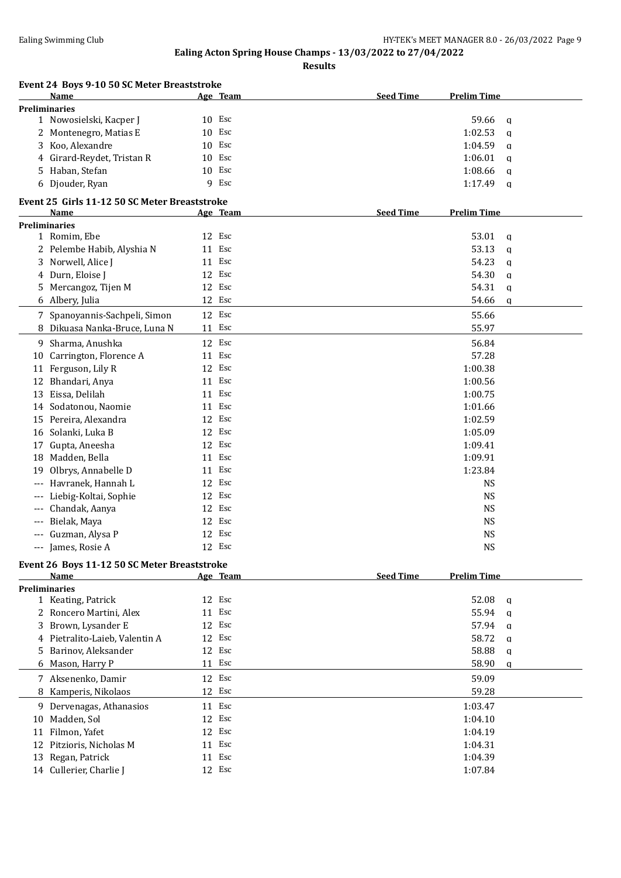**Results**

|       | Event 24 Boys 9-10 50 SC Meter Breaststroke           |    |          |                  |                         |
|-------|-------------------------------------------------------|----|----------|------------------|-------------------------|
|       | Name                                                  |    | Age Team | <b>Seed Time</b> | <b>Prelim Time</b>      |
|       | <b>Preliminaries</b>                                  |    |          |                  |                         |
|       | 1 Nowosielski, Kacper J                               |    | 10 Esc   |                  | 59.66<br>a              |
|       | 2 Montenegro, Matias E                                |    | 10 Esc   |                  | 1:02.53<br>a            |
| 3     | Koo, Alexandre                                        | 10 | Esc      |                  | 1:04.59<br>a            |
|       | Girard-Reydet, Tristan R                              | 10 | Esc      |                  | 1:06.01<br>a            |
| 5.    | Haban, Stefan                                         | 10 | Esc      |                  | 1:08.66<br>a            |
|       | 6 Djouder, Ryan                                       |    | 9 Esc    |                  | 1:17.49<br>$\mathsf{q}$ |
|       | Event 25 Girls 11-12 50 SC Meter Breaststroke<br>Name |    | Age Team | <b>Seed Time</b> | <b>Prelim Time</b>      |
|       | <b>Preliminaries</b>                                  |    |          |                  |                         |
|       | 1 Romim, Ebe                                          |    | 12 Esc   |                  | 53.01<br>$\mathbf{q}$   |
|       | 2 Pelembe Habib, Alyshia N                            | 11 | Esc      |                  | 53.13<br>$\mathbf{q}$   |
| 3     | Norwell, Alice J                                      |    | 11 Esc   |                  | 54.23<br>$\mathbf q$    |
| 4     | Durn, Eloise J                                        |    | 12 Esc   |                  | 54.30<br>$\mathbf{q}$   |
| 5     | Mercangoz, Tijen M                                    |    | 12 Esc   |                  | 54.31<br>q              |
|       | 6 Albery, Julia                                       |    | 12 Esc   |                  | 54.66<br>a              |
|       | 7 Spanoyannis-Sachpeli, Simon                         |    | 12 Esc   |                  | 55.66                   |
|       | 8 Dikuasa Nanka-Bruce, Luna N                         | 11 | Esc      |                  | 55.97                   |
|       |                                                       |    |          |                  |                         |
|       | 9 Sharma, Anushka                                     |    | 12 Esc   |                  | 56.84                   |
|       | 10 Carrington, Florence A                             | 11 | Esc      |                  | 57.28                   |
| 11    | Ferguson, Lily R                                      |    | 12 Esc   |                  | 1:00.38                 |
| 12    | Bhandari, Anya                                        |    | 11 Esc   |                  | 1:00.56                 |
| 13    | Eissa, Delilah                                        |    | 11 Esc   |                  | 1:00.75                 |
| 14    | Sodatonou, Naomie                                     |    | 11 Esc   |                  | 1:01.66                 |
|       | 15 Pereira, Alexandra                                 |    | 12 Esc   |                  | 1:02.59                 |
| 16    | Solanki, Luka B                                       |    | 12 Esc   |                  | 1:05.09                 |
| 17    | Gupta, Aneesha                                        |    | 12 Esc   |                  | 1:09.41                 |
|       | 18 Madden, Bella                                      |    | 11 Esc   |                  | 1:09.91                 |
| 19    | Olbrys, Annabelle D                                   |    | 11 Esc   |                  | 1:23.84                 |
|       | Havranek, Hannah L                                    |    | 12 Esc   |                  | <b>NS</b>               |
| ---   | Liebig-Koltai, Sophie                                 | 12 | Esc      |                  | <b>NS</b>               |
| $---$ | Chandak, Aanya                                        | 12 | Esc      |                  | <b>NS</b>               |
| ---   | Bielak, Maya                                          | 12 | Esc      |                  | <b>NS</b>               |
| $---$ | Guzman, Alysa P                                       |    | 12 Esc   |                  | <b>NS</b>               |
|       | --- James, Rosie A                                    |    | 12 Esc   |                  | <b>NS</b>               |
|       | Event 26 Boys 11-12 50 SC Meter Breaststroke          |    |          |                  |                         |
|       | Name                                                  |    | Age Team | <b>Seed Time</b> | <b>Prelim Time</b>      |
|       | <b>Preliminaries</b>                                  |    |          |                  |                         |
|       | 1 Keating, Patrick                                    |    | 12 Esc   |                  | 52.08<br>q              |
|       | 2 Roncero Martini, Alex                               |    | 11 Esc   |                  | 55.94<br>$\mathbf{q}$   |
| 3     | Brown, Lysander E                                     |    | 12 Esc   |                  | 57.94<br>$\mathbf q$    |
| 4     | Pietralito-Laieb, Valentin A                          |    | 12 Esc   |                  | 58.72<br>a              |
| 5     | Barinov, Aleksander                                   |    | 12 Esc   |                  | 58.88<br>q              |
|       | 6 Mason, Harry P                                      |    | 11 Esc   |                  | 58.90<br>a              |
|       | 7 Aksenenko, Damir                                    |    | 12 Esc   |                  | 59.09                   |
| 8     | Kamperis, Nikolaos                                    |    | 12 Esc   |                  | 59.28                   |
|       |                                                       |    |          |                  |                         |
|       | 9 Dervenagas, Athanasios                              |    | 11 Esc   |                  | 1:03.47                 |
|       | 10 Madden, Sol                                        |    | 12 Esc   |                  | 1:04.10                 |
| 11    | Filmon, Yafet                                         |    | 12 Esc   |                  | 1:04.19                 |
| 12    | Pitzioris, Nicholas M                                 |    | 11 Esc   |                  | 1:04.31                 |
|       | 13 Regan, Patrick                                     |    | 11 Esc   |                  | 1:04.39                 |
|       | 14 Cullerier, Charlie J                               |    | 12 Esc   |                  | 1:07.84                 |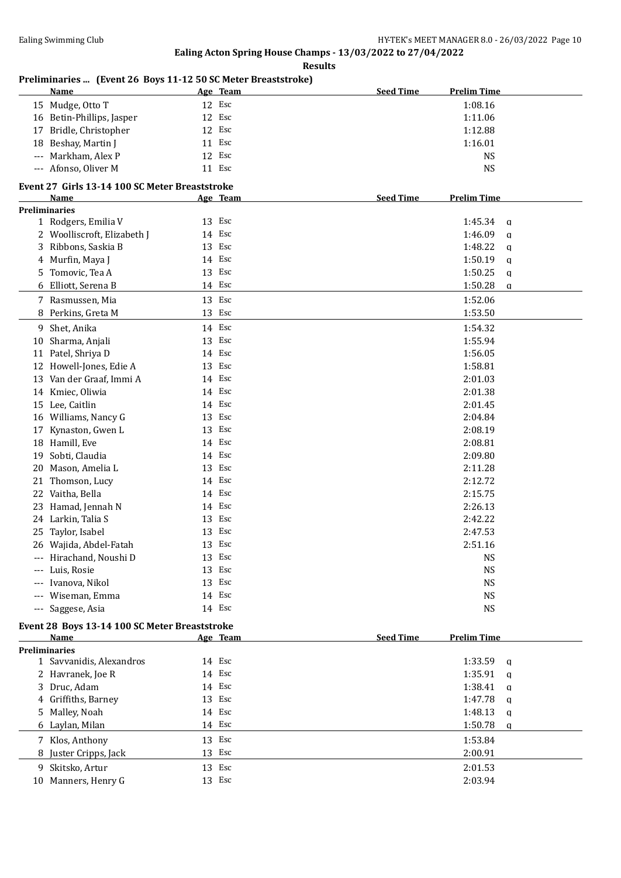**Results**

# **Preliminaries ... (Event 26 Boys 11-12 50 SC Meter Breaststroke)**

|       | <b>Name</b>                                      |        | Age Team | <b>Seed Time</b><br><b>Prelim Time</b> |             |
|-------|--------------------------------------------------|--------|----------|----------------------------------------|-------------|
|       | 15 Mudge, Otto T                                 |        | 12 Esc   | 1:08.16                                |             |
|       | 16 Betin-Phillips, Jasper                        | 12 Esc |          | 1:11.06                                |             |
| 17    | Bridle, Christopher                              | 12 Esc |          | 1:12.88                                |             |
| 18    | Beshay, Martin J                                 |        | 11 Esc   | 1:16.01                                |             |
| $---$ | Markham, Alex P                                  | 12 Esc |          |                                        | <b>NS</b>   |
|       | --- Afonso, Oliver M                             | 11 Esc |          |                                        | <b>NS</b>   |
|       |                                                  |        |          |                                        |             |
|       | Event 27 Girls 13-14 100 SC Meter Breaststroke   |        |          |                                        |             |
|       | Name                                             |        | Age Team | <b>Seed Time</b><br><b>Prelim Time</b> |             |
|       | <b>Preliminaries</b>                             |        |          |                                        |             |
|       | 1 Rodgers, Emilia V                              | 13 Esc |          | 1:45.34                                | a           |
|       | 2 Woolliscroft, Elizabeth J                      | 14 Esc |          | 1:46.09                                | q           |
|       | 3 Ribbons, Saskia B                              | 13 Esc |          | 1:48.22                                | a           |
|       | 4 Murfin, Maya J                                 | 14 Esc |          | 1:50.19                                | q           |
|       | 5 Tomovic, Tea A                                 | 13 Esc |          | 1:50.25                                | $\mathbf q$ |
|       | 6 Elliott, Serena B                              | 14 Esc |          | 1:50.28                                | $\mathbf q$ |
|       | 7 Rasmussen, Mia                                 | 13 Esc |          | 1:52.06                                |             |
|       | 8 Perkins, Greta M                               |        | 13 Esc   | 1:53.50                                |             |
|       | 9 Shet, Anika                                    | 14 Esc |          |                                        |             |
|       |                                                  | 13 Esc |          | 1:54.32                                |             |
|       | 10 Sharma, Anjali                                |        |          | 1:55.94                                |             |
|       | 11 Patel, Shriya D                               | 14 Esc |          | 1:56.05                                |             |
|       | 12 Howell-Jones, Edie A                          | 13 Esc |          | 1:58.81                                |             |
|       | 13 Van der Graaf, Immi A                         | 14 Esc |          | 2:01.03                                |             |
|       | 14 Kmiec, Oliwia                                 | 14 Esc |          | 2:01.38                                |             |
|       | 15 Lee, Caitlin                                  | 14 Esc |          | 2:01.45                                |             |
|       | 16 Williams, Nancy G                             | 13 Esc |          | 2:04.84                                |             |
| 17    | Kynaston, Gwen L                                 | 13 Esc |          | 2:08.19                                |             |
|       | 18 Hamill, Eve                                   | 14 Esc |          | 2:08.81                                |             |
| 19    | Sobti, Claudia                                   |        | 14 Esc   | 2:09.80                                |             |
| 20    | Mason, Amelia L                                  | 13 Esc |          | 2:11.28                                |             |
| 21    | Thomson, Lucy                                    | 14 Esc |          | 2:12.72                                |             |
| 22    | Vaitha, Bella                                    | 14 Esc |          | 2:15.75                                |             |
|       | 23 Hamad, Jennah N                               | 14 Esc |          | 2:26.13                                |             |
|       | 24 Larkin, Talia S                               | 13 Esc |          | 2:42.22                                |             |
|       | 25 Taylor, Isabel                                | 13 Esc |          | 2:47.53                                |             |
|       | 26 Wajida, Abdel-Fatah                           |        | 13 Esc   | 2:51.16                                |             |
|       | --- Hirachand, Noushi D                          |        | 13 Esc   |                                        | <b>NS</b>   |
|       | --- Luis, Rosie                                  |        | 13 Esc   |                                        | <b>NS</b>   |
| ---   | Ivanova, Nikol                                   |        | 13 Esc   |                                        | <b>NS</b>   |
| $---$ | Wiseman, Emma                                    |        | 14 Esc   |                                        | <b>NS</b>   |
|       | --- Saggese, Asia                                |        | 14 Esc   |                                        | <b>NS</b>   |
|       |                                                  |        |          |                                        |             |
|       | Event 28 Boys 13-14 100 SC Meter Breaststroke    |        |          |                                        |             |
|       | Name                                             |        | Age Team | <b>Seed Time</b><br><b>Prelim Time</b> |             |
|       | <b>Preliminaries</b><br>1 Savvanidis, Alexandros | 14 Esc |          | 1:33.59                                |             |
|       |                                                  |        | 14 Esc   |                                        | q           |
|       | 2 Havranek, Joe R                                |        |          | 1:35.91                                | $\mathbf q$ |
|       | 3 Druc, Adam                                     |        | 14 Esc   | 1:38.41                                | q           |
|       | 4 Griffiths, Barney                              |        | 13 Esc   | 1:47.78                                | a           |
| 5     | Malley, Noah                                     |        | 14 Esc   | 1:48.13                                | q           |
|       | 6 Laylan, Milan                                  |        | 14 Esc   | 1:50.78                                | a           |
|       | 7 Klos, Anthony                                  |        | 13 Esc   | 1:53.84                                |             |
| 8     | Juster Cripps, Jack                              |        | 13 Esc   | 2:00.91                                |             |
|       | 9 Skitsko, Artur                                 |        | 13 Esc   | 2:01.53                                |             |
|       | 10 Manners, Henry G                              |        | 13 Esc   | 2:03.94                                |             |
|       |                                                  |        |          |                                        |             |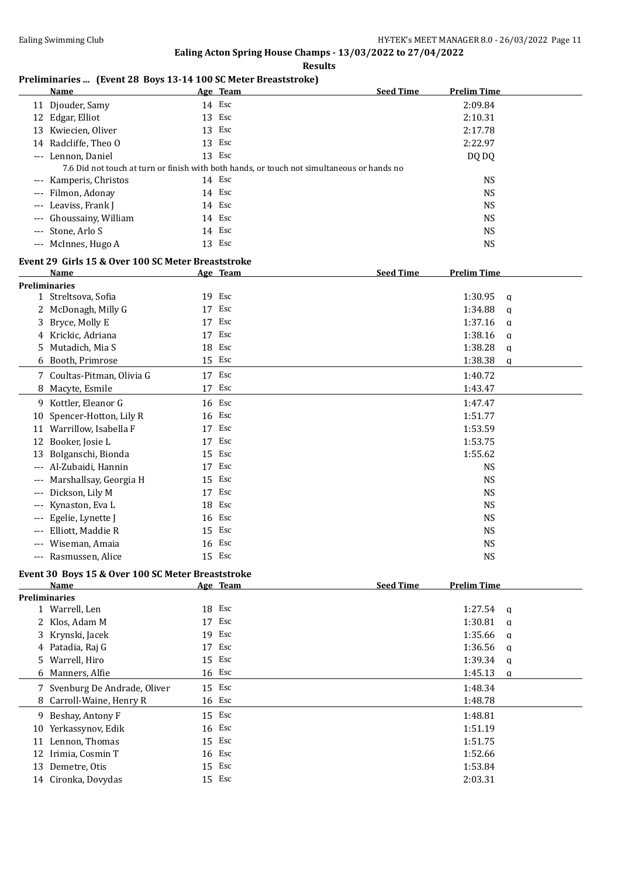**Results**

## **Preliminaries ... (Event 28 Boys 13-14 100 SC Meter Breaststroke)**

|          | <b>Name</b>                                        |        | Age Team | <b>Seed Time</b>                                                                           | <b>Prelim Time</b> |              |
|----------|----------------------------------------------------|--------|----------|--------------------------------------------------------------------------------------------|--------------------|--------------|
|          | 11 Djouder, Samy                                   |        | 14 Esc   |                                                                                            | 2:09.84            |              |
|          | 12 Edgar, Elliot                                   |        | 13 Esc   |                                                                                            | 2:10.31            |              |
|          | 13 Kwiecien, Oliver                                |        | 13 Esc   |                                                                                            | 2:17.78            |              |
|          | 14 Radcliffe, Theo O                               |        | 13 Esc   |                                                                                            | 2:22.97            |              |
|          | --- Lennon, Daniel                                 |        | 13 Esc   |                                                                                            | DQ DQ              |              |
|          |                                                    |        |          | 7.6 Did not touch at turn or finish with both hands, or touch not simultaneous or hands no |                    |              |
|          | --- Kamperis, Christos                             |        | 14 Esc   |                                                                                            | <b>NS</b>          |              |
|          | --- Filmon, Adonay                                 |        | 14 Esc   |                                                                                            | <b>NS</b>          |              |
|          | --- Leaviss, Frank J                               |        | 14 Esc   |                                                                                            | <b>NS</b>          |              |
| $---$    | Ghoussainy, William                                |        | 14 Esc   |                                                                                            | <b>NS</b>          |              |
| $---$    | Stone, Arlo S                                      |        | 14 Esc   |                                                                                            | <b>NS</b>          |              |
|          | --- McInnes, Hugo A                                |        | 13 Esc   |                                                                                            | <b>NS</b>          |              |
|          | Event 29 Girls 15 & Over 100 SC Meter Breaststroke |        |          |                                                                                            |                    |              |
|          | Name                                               |        | Age Team | <b>Seed Time</b>                                                                           | <b>Prelim Time</b> |              |
|          | <b>Preliminaries</b>                               |        |          |                                                                                            |                    |              |
|          | 1 Streltsova, Sofia                                |        | 19 Esc   |                                                                                            | 1:30.95            | $\mathbf{q}$ |
|          | 2 McDonagh, Milly G                                |        | 17 Esc   |                                                                                            | 1:34.88            | $\mathbf q$  |
| 3        | Bryce, Molly E                                     |        | 17 Esc   |                                                                                            | 1:37.16            | $\mathbf{q}$ |
|          | 4 Krickic, Adriana                                 |        | 17 Esc   |                                                                                            | 1:38.16            | $\mathbf q$  |
| 5.       | Mutadich, Mia S                                    | 18     | Esc      |                                                                                            | 1:38.28            | $\mathbf{q}$ |
|          | 6 Booth, Primrose                                  |        | 15 Esc   |                                                                                            | 1:38.38            | q            |
|          | 7 Coultas-Pitman, Olivia G                         |        | 17 Esc   |                                                                                            | 1:40.72            |              |
| 8        | Macyte, Esmile                                     |        | 17 Esc   |                                                                                            | 1:43.47            |              |
|          | 9 Kottler, Eleanor G                               |        | 16 Esc   |                                                                                            | 1:47.47            |              |
| 10       | Spencer-Hotton, Lily R                             |        | 16 Esc   |                                                                                            | 1:51.77            |              |
|          | 11 Warrillow, Isabella F                           |        | 17 Esc   |                                                                                            | 1:53.59            |              |
|          | 12 Booker, Josie L                                 |        | 17 Esc   |                                                                                            | 1:53.75            |              |
| 13       | Bolganschi, Bionda                                 |        | 15 Esc   |                                                                                            | 1:55.62            |              |
|          | Al-Zubaidi, Hannin                                 |        | 17 Esc   |                                                                                            | <b>NS</b>          |              |
| $---$    | Marshallsay, Georgia H                             | 15 Esc |          |                                                                                            | <b>NS</b>          |              |
| $\cdots$ | Dickson, Lily M                                    |        | 17 Esc   |                                                                                            | <b>NS</b>          |              |
| $\cdots$ | Kynaston, Eva L                                    | 18 Esc |          |                                                                                            | <b>NS</b>          |              |
|          | Egelie, Lynette J                                  |        | 16 Esc   |                                                                                            | <b>NS</b>          |              |
|          | Elliott, Maddie R                                  |        | 15 Esc   |                                                                                            | <b>NS</b>          |              |
|          | Wiseman, Amaia                                     | 16 Esc |          |                                                                                            | <b>NS</b>          |              |
|          | --- Rasmussen, Alice                               |        | 15 Esc   |                                                                                            | <b>NS</b>          |              |
|          | Event 30 Boys 15 & Over 100 SC Meter Breaststroke  |        |          |                                                                                            |                    |              |
|          | $N_{\alpha m\alpha}$                               |        | Ago Toom | Cood Time                                                                                  | <b>Drolim Time</b> |              |

|    | Name                          | Age Team | <b>Seed Time</b><br><b>Prelim Time</b> |
|----|-------------------------------|----------|----------------------------------------|
|    | <b>Preliminaries</b>          |          |                                        |
|    | 1 Warrell, Len                | 18 Esc   | 1:27.54<br>$\alpha$                    |
|    | 2 Klos, Adam M                | 17 Esc   | 1:30.81<br>$\alpha$                    |
|    | 3 Krynski, Jacek              | 19 Esc   | $1:35.66$ a                            |
|    | 4 Patadia, Raj G              | 17 Esc   | $1:36.56$ q                            |
|    | 5 Warrell, Hiro               | 15 Esc   | $1:39.34$ a                            |
|    | 6 Manners, Alfie              | 16 Esc   | 1:45.13<br><sub>q</sub>                |
|    | 7 Svenburg De Andrade, Oliver | 15 Esc   | 1:48.34                                |
|    | 8 Carroll-Waine, Henry R      | 16 Esc   | 1:48.78                                |
|    | 9 Beshay, Antony F            | 15 Esc   | 1:48.81                                |
| 10 | Yerkassynov, Edik             | 16 Esc   | 1:51.19                                |
| 11 | Lennon, Thomas                | 15 Esc   | 1:51.75                                |
| 12 | Irimia, Cosmin T              | 16 Esc   | 1:52.66                                |
| 13 | Demetre, Otis                 | 15 Esc   | 1:53.84                                |
|    | 14 Cironka, Dovydas           | 15 Esc   | 2:03.31                                |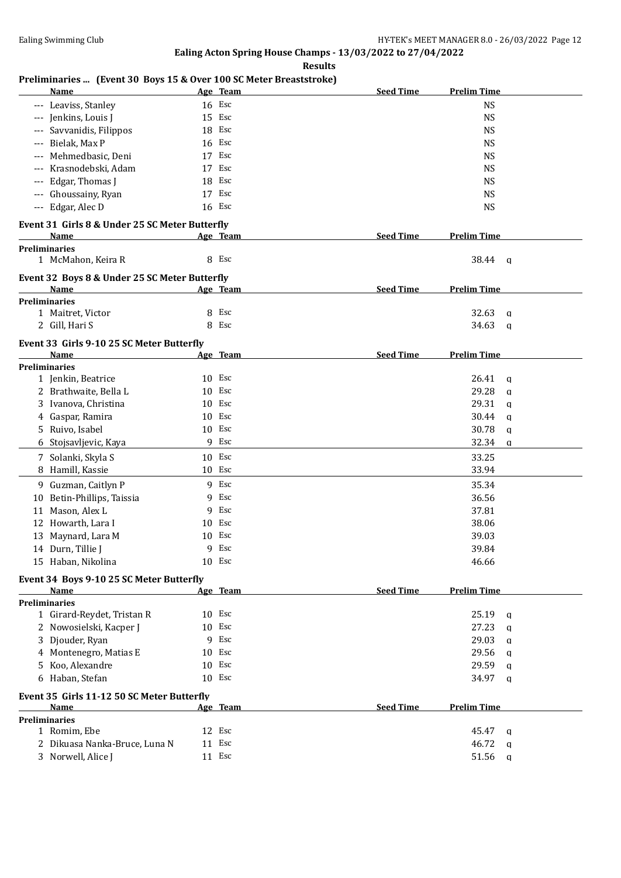**Results**

## **Preliminaries ... (Event 30 Boys 15 & Over 100 SC Meter Breaststroke)**

| Name                                             | Age Team  | <b>Seed Time</b> | <b>Prelim Time</b>      |  |
|--------------------------------------------------|-----------|------------------|-------------------------|--|
| --- Leaviss, Stanley                             | 16 Esc    |                  | <b>NS</b>               |  |
| --- Jenkins, Louis J                             | 15 Esc    |                  | <b>NS</b>               |  |
| Savvanidis, Filippos                             | 18 Esc    |                  | <b>NS</b>               |  |
| Bielak, Max P<br>---                             | 16 Esc    |                  | <b>NS</b>               |  |
| Mehmedbasic, Deni<br>$---$                       | 17 Esc    |                  | <b>NS</b>               |  |
| Krasnodebski, Adam                               | 17 Esc    |                  | <b>NS</b>               |  |
| Edgar, Thomas J                                  | 18 Esc    |                  | <b>NS</b>               |  |
| Ghoussainy, Ryan                                 | 17 Esc    |                  | <b>NS</b>               |  |
| --- Edgar, Alec D                                | 16 Esc    |                  | <b>NS</b>               |  |
|                                                  |           |                  |                         |  |
| Event 31 Girls 8 & Under 25 SC Meter Butterfly   |           |                  |                         |  |
| Name                                             | Age Team  | <b>Seed Time</b> | <b>Prelim Time</b>      |  |
| <b>Preliminaries</b>                             |           |                  |                         |  |
| 1 McMahon, Keira R                               | 8 Esc     |                  | 38.44<br>- q            |  |
| Event 32 Boys 8 & Under 25 SC Meter Butterfly    |           |                  |                         |  |
| Name                                             | Age Team  | <b>Seed Time</b> | <b>Prelim Time</b>      |  |
| <b>Preliminaries</b>                             |           |                  |                         |  |
| 1 Maitret, Victor                                | Esc<br>8  |                  | 32.63<br>a              |  |
| 2 Gill, Hari S                                   | 8 Esc     |                  | 34.63<br>a              |  |
| Event 33 Girls 9-10 25 SC Meter Butterfly        |           |                  |                         |  |
| Name                                             | Age Team  | <b>Seed Time</b> | <b>Prelim Time</b>      |  |
| <b>Preliminaries</b>                             |           |                  |                         |  |
| 1 Jenkin, Beatrice                               | 10 Esc    |                  | 26.41<br>$\mathbf q$    |  |
| 2 Brathwaite, Bella L                            | 10 Esc    |                  | 29.28<br>$\mathbf q$    |  |
| 3 Ivanova, Christina                             | 10 Esc    |                  | 29.31<br>$\mathbf{q}$   |  |
| Gaspar, Ramira<br>4                              | 10 Esc    |                  | 30.44<br>$\mathbf q$    |  |
| 5 Ruivo, Isabel                                  | 10 Esc    |                  | 30.78<br>$\mathbf q$    |  |
| 6 Stojsavljevic, Kaya                            | 9 Esc     |                  | 32.34<br>$\mathbf q$    |  |
|                                                  |           |                  |                         |  |
| 7 Solanki, Skyla S                               | 10 Esc    |                  | 33.25                   |  |
| Hamill, Kassie<br>8                              | 10 Esc    |                  | 33.94                   |  |
| 9 Guzman, Caitlyn P                              | 9 Esc     |                  | 35.34                   |  |
| 10 Betin-Phillips, Taissia                       | Esc<br>9  |                  | 36.56                   |  |
| Mason, Alex L<br>11                              | Esc<br>9  |                  | 37.81                   |  |
| 12 Howarth, Lara I                               | Esc<br>10 |                  | 38.06                   |  |
| 13 Maynard, Lara M                               | Esc<br>10 |                  | 39.03                   |  |
| 14 Durn, Tillie J                                | Esc<br>9  |                  | 39.84                   |  |
| 15 Haban, Nikolina                               | 10 Esc    |                  | 46.66                   |  |
|                                                  |           |                  |                         |  |
| Event 34 Boys 9-10 25 SC Meter Butterfly<br>Name | Age Team  | <b>Seed Time</b> | <b>Prelim Time</b>      |  |
| <b>Preliminaries</b>                             |           |                  |                         |  |
| 1 Girard-Reydet, Tristan R                       | 10 Esc    |                  | 25.19<br>$\mathbf{q}$   |  |
| 2 Nowosielski, Kacper J                          | 10 Esc    |                  | 27.23<br>$\mathbf{q}$   |  |
| 3 Djouder, Ryan                                  | 9 Esc     |                  | 29.03<br>$\mathbf{q}$   |  |
| 4 Montenegro, Matias E                           | 10 Esc    |                  | 29.56<br>$\mathbf{q}$   |  |
| 5 Koo, Alexandre                                 | 10 Esc    |                  | 29.59                   |  |
| 6 Haban, Stefan                                  | 10 Esc    |                  | $\mathbf{q}$<br>34.97   |  |
|                                                  |           |                  | $\mathsf{q}$            |  |
| Event 35 Girls 11-12 50 SC Meter Butterfly       |           |                  |                         |  |
| Name                                             | Age Team  | <b>Seed Time</b> | <b>Prelim Time</b>      |  |
| <b>Preliminaries</b>                             |           |                  |                         |  |
| 1 Romim, Ebe                                     | 12 Esc    |                  | 45.47<br>a              |  |
| 2 Dikuasa Nanka-Bruce, Luna N                    | 11 Esc    |                  | 46.72<br>q              |  |
| 3 Norwell, Alice J                               | 11 Esc    |                  | 51.56<br>$\mathfrak{a}$ |  |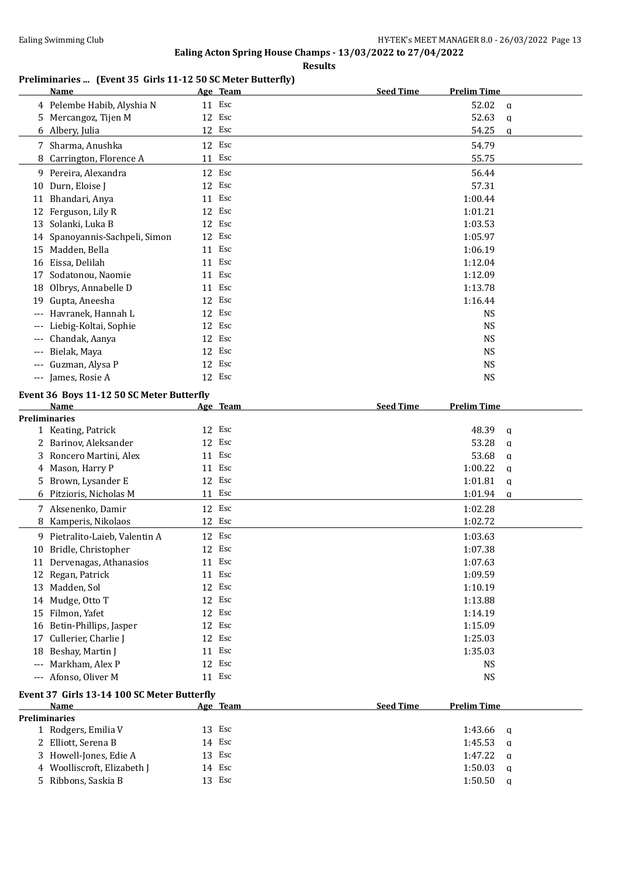**Results**

## **Preliminaries ... (Event 35 Girls 11-12 50 SC Meter Butterfly)**

|                   | Name                                        |        | Age Team | <b>Seed Time</b> | <b>Prelim Time</b>      |
|-------------------|---------------------------------------------|--------|----------|------------------|-------------------------|
|                   | 4 Pelembe Habib, Alyshia N                  | 11 Esc |          |                  | 52.02<br>$\mathbf{q}$   |
| 5.                | Mercangoz, Tijen M                          |        | 12 Esc   |                  | 52.63<br>$\mathbf q$    |
|                   | 6 Albery, Julia                             | 12 Esc |          |                  | 54.25<br>a              |
|                   | 7 Sharma, Anushka                           | 12 Esc |          |                  | 54.79                   |
| 8                 | Carrington, Florence A                      | 11 Esc |          |                  | 55.75                   |
|                   |                                             |        |          |                  |                         |
|                   | 9 Pereira, Alexandra                        | 12     | Esc      |                  | 56.44                   |
| 10                | Durn, Eloise J                              | 12     | Esc      |                  | 57.31                   |
| 11                | Bhandari, Anya                              | 11 Esc |          |                  | 1:00.44                 |
|                   | 12 Ferguson, Lily R                         | 12     | Esc      |                  | 1:01.21                 |
|                   | 13 Solanki, Luka B                          | 12 Esc |          |                  | 1:03.53                 |
|                   | 14 Spanoyannis-Sachpeli, Simon              | 12     | Esc      |                  | 1:05.97                 |
|                   | 15 Madden, Bella                            | 11 Esc |          |                  | 1:06.19                 |
|                   | 16 Eissa, Delilah                           | 11 Esc |          |                  | 1:12.04                 |
| 17                | Sodatonou, Naomie                           | 11 Esc |          |                  | 1:12.09                 |
| 18                | Olbrys, Annabelle D                         | 11 Esc |          |                  | 1:13.78                 |
| 19                | Gupta, Aneesha                              | 12 Esc |          |                  | 1:16.44                 |
|                   | Havranek, Hannah L                          | 12 Esc |          |                  | <b>NS</b>               |
| ---               | Liebig-Koltai, Sophie                       | 12     | Esc      |                  | <b>NS</b>               |
| $\qquad \qquad -$ | Chandak, Aanya                              | 12     | Esc      |                  | <b>NS</b>               |
| $---$             | Bielak, Maya                                | 12     | Esc      |                  | <b>NS</b>               |
| $---$             | Guzman, Alysa P                             | 12     | Esc      |                  | <b>NS</b>               |
| $---$             | James, Rosie A                              | 12 Esc |          |                  | <b>NS</b>               |
|                   |                                             |        |          |                  |                         |
|                   | Event 36 Boys 11-12 50 SC Meter Butterfly   |        |          |                  |                         |
|                   | Name                                        |        | Age Team | <b>Seed Time</b> | <b>Prelim Time</b>      |
|                   | <b>Preliminaries</b>                        | 12 Esc |          |                  |                         |
|                   | 1 Keating, Patrick                          |        |          |                  | 48.39<br>$\mathbf q$    |
| 2                 | Barinov, Aleksander                         | 12     | Esc      |                  | 53.28<br>$\mathbf q$    |
| 3                 | Roncero Martini, Alex                       | 11 Esc |          |                  | 53.68<br>$\mathbf q$    |
| 4                 | Mason, Harry P                              | 11 Esc |          |                  | 1:00.22<br>$\mathbf q$  |
| 5                 | Brown, Lysander E                           | 12 Esc |          |                  | 1:01.81<br>$\mathbf q$  |
| 6                 | Pitzioris, Nicholas M                       | 11 Esc |          |                  | 1:01.94<br>a            |
|                   | 7 Aksenenko, Damir                          | 12 Esc |          |                  | 1:02.28                 |
| 8                 | Kamperis, Nikolaos                          | 12 Esc |          |                  | 1:02.72                 |
| 9.                | Pietralito-Laieb, Valentin A                | 12     | Esc      |                  | 1:03.63                 |
|                   | 10 Bridle, Christopher                      | 12 Esc |          |                  | 1:07.38                 |
|                   | 11 Dervenagas, Athanasios                   |        | 11 Esc   |                  | 1:07.63                 |
|                   | 12 Regan, Patrick                           |        | 11 Esc   |                  | 1:09.59                 |
|                   | 13 Madden, Sol                              | 12 Esc |          |                  | 1:10.19                 |
|                   | 14 Mudge, Otto T                            | 12 Esc |          |                  | 1:13.88                 |
|                   | 15 Filmon, Yafet                            | 12 Esc |          |                  | 1:14.19                 |
|                   | 16 Betin-Phillips, Jasper                   | 12 Esc |          |                  | 1:15.09                 |
|                   | 17 Cullerier, Charlie J                     | 12 Esc |          |                  | 1:25.03                 |
|                   |                                             | 11 Esc |          |                  |                         |
|                   | 18 Beshay, Martin J                         |        |          |                  | 1:35.03                 |
|                   | --- Markham, Alex P                         |        | 12 Esc   |                  | <b>NS</b>               |
|                   | --- Afonso, Oliver M                        | 11 Esc |          |                  | <b>NS</b>               |
|                   | Event 37 Girls 13-14 100 SC Meter Butterfly |        |          |                  |                         |
|                   | <b>Name</b>                                 |        | Age Team | <b>Seed Time</b> | <b>Prelim Time</b>      |
|                   | <b>Preliminaries</b>                        |        |          |                  |                         |
|                   | 1 Rodgers, Emilia V                         |        | 13 Esc   |                  | 1:43.66<br>a            |
|                   | 2 Elliott, Serena B                         | 14 Esc |          |                  | 1:45.53<br>q            |
|                   | 3 Howell-Jones, Edie A                      | 13 Esc |          |                  | 1:47.22<br>a            |
|                   | 4 Woolliscroft, Elizabeth J                 |        | 14 Esc   |                  | 1:50.03<br>$\mathbf q$  |
|                   | 5 Ribbons, Saskia B                         | 13 Esc |          |                  | 1:50.50<br>$\mathsf{q}$ |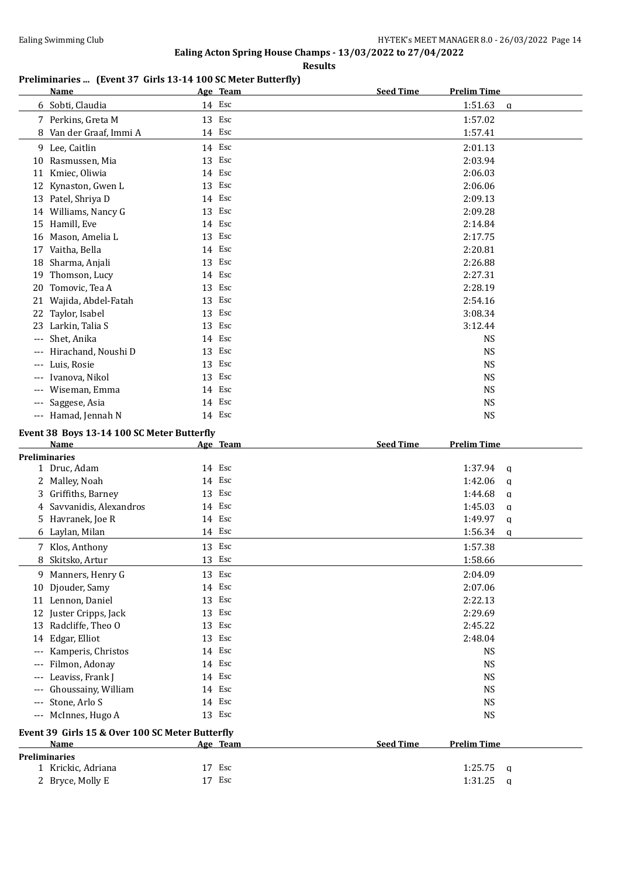**Results**

## **Preliminaries ... (Event 37 Girls 13-14 100 SC Meter Butterfly)**

|                     | <b>Name</b>                                                    |        | Age Team | <b>Seed Time</b> | <b>Prelim Time</b> |              |
|---------------------|----------------------------------------------------------------|--------|----------|------------------|--------------------|--------------|
|                     | 6 Sobti, Claudia                                               |        | 14 Esc   |                  | 1:51.63            | $\mathbf q$  |
|                     | 7 Perkins, Greta M                                             |        | 13 Esc   |                  | 1:57.02            |              |
|                     | 8 Van der Graaf, Immi A                                        |        | 14 Esc   |                  | 1:57.41            |              |
|                     | 9 Lee, Caitlin                                                 |        | 14 Esc   |                  | 2:01.13            |              |
| 10                  | Rasmussen, Mia                                                 |        | 13 Esc   |                  | 2:03.94            |              |
|                     | 11 Kmiec, Oliwia                                               |        | 14 Esc   |                  | 2:06.03            |              |
|                     |                                                                |        | 13 Esc   |                  |                    |              |
|                     | 12 Kynaston, Gwen L                                            |        | 14 Esc   |                  | 2:06.06            |              |
|                     | 13 Patel, Shriya D                                             |        | 13 Esc   |                  | 2:09.13<br>2:09.28 |              |
|                     | 14 Williams, Nancy G                                           |        |          |                  |                    |              |
|                     | 15 Hamill, Eve                                                 |        | 14 Esc   |                  | 2:14.84            |              |
|                     | 16 Mason, Amelia L                                             |        | 13 Esc   |                  | 2:17.75            |              |
|                     | 17 Vaitha, Bella                                               |        | 14 Esc   |                  | 2:20.81            |              |
|                     | 18 Sharma, Anjali                                              |        | 13 Esc   |                  | 2:26.88            |              |
| 19                  | Thomson, Lucy                                                  |        | 14 Esc   |                  | 2:27.31            |              |
| 20                  | Tomovic, Tea A                                                 |        | 13 Esc   |                  | 2:28.19            |              |
|                     | 21 Wajida, Abdel-Fatah                                         |        | 13 Esc   |                  | 2:54.16            |              |
| 22                  | Taylor, Isabel                                                 |        | 13 Esc   |                  | 3:08.34            |              |
| 23                  | Larkin, Talia S                                                |        | 13 Esc   |                  | 3:12.44            |              |
| $---$               | Shet, Anika                                                    |        | 14 Esc   |                  | <b>NS</b>          |              |
|                     | Hirachand, Noushi D                                            |        | 13 Esc   |                  | <b>NS</b>          |              |
|                     | Luis, Rosie                                                    |        | 13 Esc   |                  | <b>NS</b>          |              |
| ---                 | Ivanova, Nikol                                                 |        | 13 Esc   |                  | <b>NS</b>          |              |
| $---$               | Wiseman, Emma                                                  |        | 14 Esc   |                  | <b>NS</b>          |              |
| $---$               | Saggese, Asia                                                  |        | 14 Esc   |                  | <b>NS</b>          |              |
| $\qquad \qquad - -$ | Hamad, Jennah N                                                |        | 14 Esc   |                  | <b>NS</b>          |              |
|                     | Event 38 Boys 13-14 100 SC Meter Butterfly                     |        |          |                  |                    |              |
|                     | <b>Name</b>                                                    |        | Age Team | <b>Seed Time</b> | <b>Prelim Time</b> |              |
|                     | <b>Preliminaries</b>                                           |        |          |                  |                    |              |
|                     | 1 Druc, Adam                                                   |        | 14 Esc   |                  | 1:37.94            | $\mathbf{q}$ |
|                     | 2 Malley, Noah                                                 |        | 14 Esc   |                  | 1:42.06            | $\mathbf q$  |
| 3                   | Griffiths, Barney                                              |        | 13 Esc   |                  | 1:44.68            | $\mathbf q$  |
|                     | 4 Savvanidis, Alexandros                                       |        | 14 Esc   |                  | 1:45.03            | a            |
|                     | 5 Havranek, Joe R                                              |        | 14 Esc   |                  | 1:49.97            | $\mathbf q$  |
|                     | 6 Laylan, Milan                                                |        | 14 Esc   |                  | 1:56.34            | a            |
|                     | 7 Klos, Anthony                                                |        | 13 Esc   |                  | 1:57.38            |              |
| 8                   | Skitsko, Artur                                                 |        | 13 Esc   |                  | 1:58.66            |              |
|                     |                                                                |        |          |                  |                    |              |
|                     | 9 Manners, Henry G                                             |        | 13 Esc   |                  | 2:04.09            |              |
|                     | 10 Djouder, Samy                                               |        | 14 Esc   |                  | 2:07.06            |              |
|                     | 11 Lennon, Daniel                                              |        | 13 Esc   |                  | 2:22.13            |              |
|                     | 12 Juster Cripps, Jack                                         |        | 13 Esc   |                  | 2:29.69            |              |
|                     | 13 Radcliffe, Theo O                                           |        | 13 Esc   |                  | 2:45.22            |              |
|                     |                                                                |        |          |                  |                    |              |
|                     | 14 Edgar, Elliot                                               | 13 Esc |          |                  | 2:48.04            |              |
| $---$               | Kamperis, Christos                                             |        | 14 Esc   |                  | <b>NS</b>          |              |
| $---$               | Filmon, Adonay                                                 |        | 14 Esc   |                  | <b>NS</b>          |              |
|                     | Leaviss, Frank J                                               |        | 14 Esc   |                  | <b>NS</b>          |              |
|                     | Ghoussainy, William                                            |        | 14 Esc   |                  | <b>NS</b>          |              |
|                     | Stone, Arlo S                                                  |        | 14 Esc   |                  | <b>NS</b>          |              |
| $---$               | McInnes, Hugo A                                                |        | 13 Esc   |                  | <b>NS</b>          |              |
|                     |                                                                |        |          |                  |                    |              |
|                     | Event 39 Girls 15 & Over 100 SC Meter Butterfly<br><b>Name</b> |        | Age Team | <b>Seed Time</b> | <b>Prelim Time</b> |              |
|                     | <b>Preliminaries</b>                                           |        |          |                  |                    |              |
|                     | 1 Krickic, Adriana                                             |        | 17 Esc   |                  | 1:25.75            | $\mathbf q$  |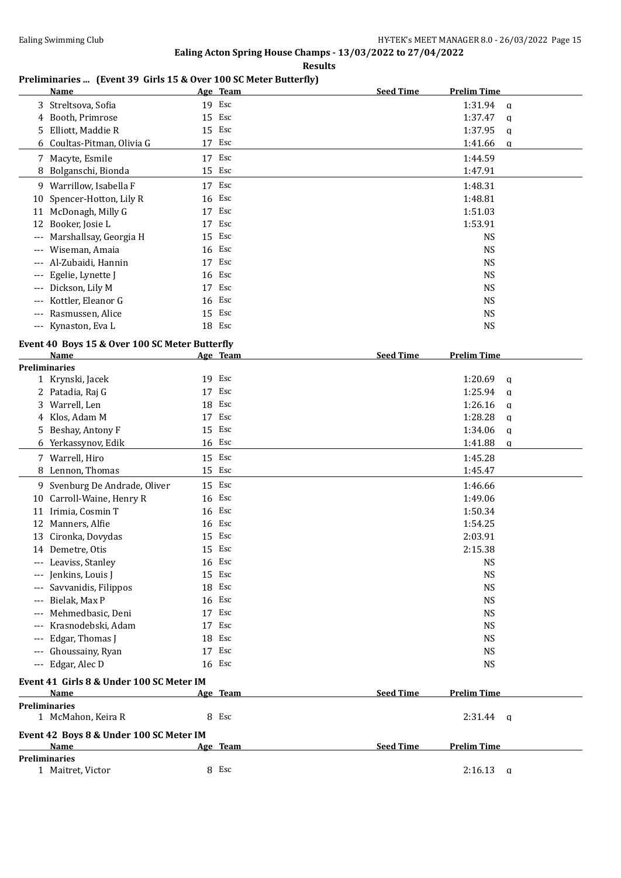**Results**

## **Preliminaries ... (Event 39 Girls 15 & Over 100 SC Meter Butterfly)**

|                      | <b>Name</b>                                            | Age Team | <b>Seed Time</b> | <b>Prelim Time</b> |              |
|----------------------|--------------------------------------------------------|----------|------------------|--------------------|--------------|
|                      | 3 Streltsova, Sofia                                    | 19 Esc   |                  | 1:31.94            | a            |
| 4                    | Booth, Primrose                                        | 15 Esc   |                  | 1:37.47            | q            |
| 5                    | Elliott, Maddie R                                      | 15 Esc   |                  | 1:37.95            | a            |
|                      | 6 Coultas-Pitman, Olivia G                             | 17 Esc   |                  | 1:41.66            | q            |
| 7                    | Macyte, Esmile                                         | 17 Esc   |                  | 1:44.59            |              |
| 8                    | Bolganschi, Bionda                                     | 15 Esc   |                  | 1:47.91            |              |
|                      | 9 Warrillow, Isabella F                                | 17 Esc   |                  | 1:48.31            |              |
| 10                   | Spencer-Hotton, Lily R                                 | 16 Esc   |                  | 1:48.81            |              |
|                      | 11 McDonagh, Milly G                                   | 17 Esc   |                  | 1:51.03            |              |
| 12                   | Booker, Josie L                                        | 17 Esc   |                  | 1:53.91            |              |
| $---$                | Marshallsay, Georgia H                                 | 15 Esc   |                  | <b>NS</b>          |              |
| $---$                | Wiseman, Amaia                                         | 16 Esc   |                  | <b>NS</b>          |              |
|                      | Al-Zubaidi, Hannin                                     | 17 Esc   |                  | <b>NS</b>          |              |
|                      | Egelie, Lynette J                                      | 16 Esc   |                  | <b>NS</b>          |              |
|                      | Dickson, Lily M                                        | 17 Esc   |                  | <b>NS</b>          |              |
|                      | Kottler, Eleanor G                                     | 16 Esc   |                  | <b>NS</b>          |              |
| $---$                | Rasmussen, Alice                                       | 15 Esc   |                  | <b>NS</b>          |              |
|                      | --- Kynaston, Eva L                                    | 18 Esc   |                  | <b>NS</b>          |              |
|                      |                                                        |          |                  |                    |              |
|                      | Event 40 Boys 15 & Over 100 SC Meter Butterfly<br>Name |          | <b>Seed Time</b> | <b>Prelim Time</b> |              |
| <b>Preliminaries</b> |                                                        | Age Team |                  |                    |              |
|                      | 1 Krynski, Jacek                                       | 19 Esc   |                  | 1:20.69            | q            |
|                      | 2 Patadia, Raj G                                       | 17 Esc   |                  | 1:25.94            | a            |
| 3                    | Warrell, Len                                           | 18 Esc   |                  | 1:26.16            | q            |
| 4                    | Klos, Adam M                                           | 17 Esc   |                  | 1:28.28            | a            |
|                      | 5 Beshay, Antony F                                     | 15 Esc   |                  | 1:34.06            | q            |
|                      | 6 Yerkassynov, Edik                                    | 16 Esc   |                  | 1:41.88            | $\mathbf q$  |
|                      | 7 Warrell, Hiro                                        | 15 Esc   |                  | 1:45.28            |              |
|                      | 8 Lennon, Thomas                                       | 15 Esc   |                  | 1:45.47            |              |
|                      |                                                        |          |                  |                    |              |
|                      | 9 Svenburg De Andrade, Oliver                          | 15 Esc   |                  | 1:46.66            |              |
|                      | 10 Carroll-Waine, Henry R                              | 16 Esc   |                  | 1:49.06            |              |
| 11                   | Irimia, Cosmin T                                       | 16 Esc   |                  | 1:50.34            |              |
| 12                   | Manners, Alfie                                         | 16 Esc   |                  | 1:54.25            |              |
|                      | 13 Cironka, Dovydas                                    | 15 Esc   |                  | 2:03.91            |              |
|                      | 14 Demetre, Otis                                       | 15 Esc   |                  | 2:15.38            |              |
|                      | Leaviss, Stanley                                       | 16 Esc   |                  | <b>NS</b>          |              |
|                      | Jenkins, Louis J                                       | 15 Esc   |                  | <b>NS</b>          |              |
|                      | Savvanidis, Filippos                                   | 18 Esc   |                  | <b>NS</b>          |              |
| ---                  | Bielak, Max P                                          | 16 Esc   |                  | <b>NS</b>          |              |
|                      | Mehmedbasic, Deni                                      | 17 Esc   |                  | <b>NS</b>          |              |
|                      | Krasnodebski, Adam                                     | 17 Esc   |                  | <b>NS</b>          |              |
|                      | Edgar, Thomas J                                        | 18 Esc   |                  | <b>NS</b>          |              |
|                      | Ghoussainy, Ryan                                       | 17 Esc   |                  | <b>NS</b>          |              |
| $---$                | Edgar, Alec D                                          | 16 Esc   |                  | <b>NS</b>          |              |
|                      | Event 41 Girls 8 & Under 100 SC Meter IM               |          |                  |                    |              |
|                      | Name                                                   | Age Team | <b>Seed Time</b> | <b>Prelim Time</b> |              |
| <b>Preliminaries</b> |                                                        |          |                  |                    |              |
|                      | 1 McMahon, Keira R                                     | 8 Esc    |                  | 2:31.44            | - q          |
|                      | Event 42 Boys 8 & Under 100 SC Meter IM<br>Name        | Age Team | <b>Seed Time</b> | <b>Prelim Time</b> |              |
| <b>Preliminaries</b> |                                                        |          |                  |                    |              |
|                      | 1 Maitret, Victor                                      | 8 Esc    |                  | 2:16.13            | $\mathbf{q}$ |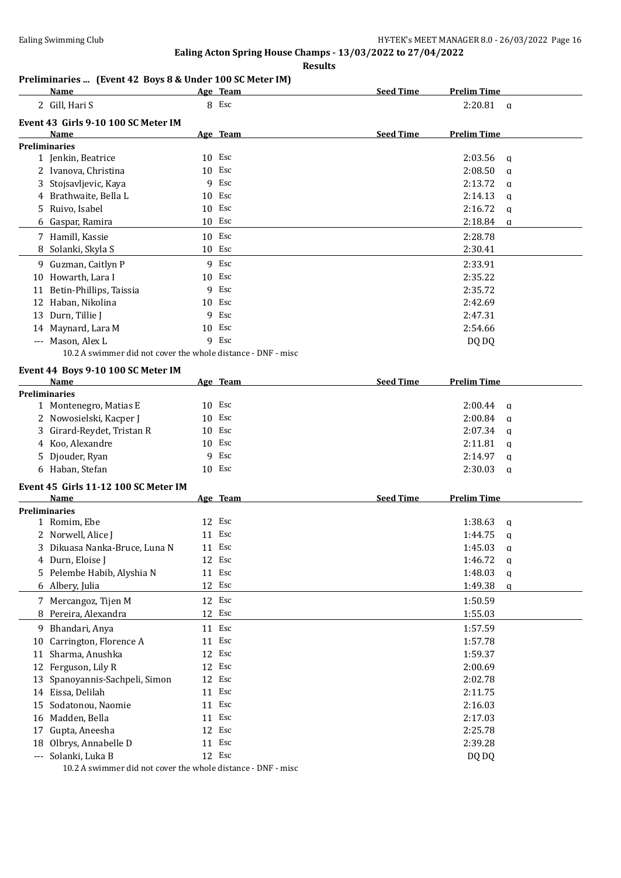**Results**

## **Preliminaries ... (Event 42 Boys 8 & Under 100 SC Meter IM)**

|          | Name                                                         |    | Age Team | <b>Seed Time</b> | <b>Prelim Time</b> |              |
|----------|--------------------------------------------------------------|----|----------|------------------|--------------------|--------------|
|          | 2 Gill, Hari S                                               |    | 8 Esc    |                  | 2:20.81            | $\mathbf{q}$ |
|          | Event 43 Girls 9-10 100 SC Meter IM                          |    |          |                  |                    |              |
|          | Name                                                         |    | Age Team | <b>Seed Time</b> | <b>Prelim Time</b> |              |
|          | <b>Preliminaries</b>                                         |    |          |                  |                    |              |
|          | 1 Jenkin, Beatrice                                           |    | 10 Esc   |                  | 2:03.56            | $\mathbf{q}$ |
|          | 2 Ivanova, Christina                                         |    | 10 Esc   |                  | 2:08.50            | $\mathbf{q}$ |
|          | 3 Stojsavljevic, Kaya                                        | 9  | Esc      |                  | 2:13.72            | $\mathbf{q}$ |
|          | 4 Brathwaite, Bella L                                        |    | $10$ Esc |                  | 2:14.13            | $\mathbf{q}$ |
|          | 5 Ruivo, Isabel                                              |    | 10 Esc   |                  | 2:16.72            | $\mathbf q$  |
|          | 6 Gaspar, Ramira                                             |    | 10 Esc   |                  | 2:18.84            | $\mathbf q$  |
|          | 7 Hamill, Kassie                                             |    | 10 Esc   |                  | 2:28.78            |              |
| 8        | Solanki, Skyla S                                             |    | 10 Esc   |                  | 2:30.41            |              |
|          | 9 Guzman, Caitlyn P                                          |    | 9 Esc    |                  | 2:33.91            |              |
|          | 10 Howarth, Lara I                                           |    | 10 Esc   |                  | 2:35.22            |              |
|          | 11 Betin-Phillips, Taissia                                   | 9  | Esc      |                  | 2:35.72            |              |
|          | 12 Haban, Nikolina                                           |    | 10 Esc   |                  | 2:42.69            |              |
|          | 13 Durn, Tillie J                                            | 9  | Esc      |                  | 2:47.31            |              |
|          | 14 Maynard, Lara M                                           |    | 10 Esc   |                  | 2:54.66            |              |
|          | --- Mason, Alex L                                            |    | 9 Esc    |                  | DQ DQ              |              |
|          | 10.2 A swimmer did not cover the whole distance - DNF - misc |    |          |                  |                    |              |
|          |                                                              |    |          |                  |                    |              |
|          | Event 44 Boys 9-10 100 SC Meter IM<br>Name                   |    | Age Team | <b>Seed Time</b> | <b>Prelim Time</b> |              |
|          | <b>Preliminaries</b>                                         |    |          |                  |                    |              |
|          | 1 Montenegro, Matias E                                       |    | 10 Esc   |                  | 2:00.44            | q            |
|          | 2 Nowosielski, Kacper J                                      |    | 10 Esc   |                  | 2:00.84            | q            |
| 3        | Girard-Reydet, Tristan R                                     |    | 10 Esc   |                  | 2:07.34            | $\mathbf q$  |
|          | 4 Koo, Alexandre                                             |    | $10$ Esc |                  | 2:11.81            | $\mathbf{q}$ |
|          | 5 Djouder, Ryan                                              | 9  | Esc      |                  | 2:14.97            | a            |
|          | 6 Haban, Stefan                                              |    | $10$ Esc |                  | 2:30.03            | $\mathbf{q}$ |
|          |                                                              |    |          |                  |                    |              |
|          | Event 45 Girls 11-12 100 SC Meter IM                         |    |          |                  |                    |              |
|          | Name                                                         |    | Age Team | <b>Seed Time</b> | <b>Prelim Time</b> |              |
|          | <b>Preliminaries</b>                                         |    | 12 Esc   |                  |                    |              |
|          | 1 Romim, Ebe                                                 |    | 11 Esc   |                  | 1:38.63            | q            |
|          | 2 Norwell, Alice J                                           |    |          |                  | 1:44.75            | $\mathbf{q}$ |
|          | 3 Dikuasa Nanka-Bruce, Luna N                                |    | 11 Esc   |                  | 1:45.03            | $\mathbf q$  |
|          | 4 Durn, Eloise J                                             |    | 12 Esc   |                  | 1:46.72            | a            |
| 5.       | Pelembe Habib, Alyshia N                                     |    | 11 Esc   |                  | 1:48.03            | q            |
|          | 6 Albery, Julia                                              |    | 12 Esc   |                  | 1:49.38            | $\bf{q}$     |
|          | 7 Mercangoz, Tijen M                                         |    | 12 Esc   |                  | 1:50.59            |              |
| 8        | Pereira, Alexandra                                           |    | 12 Esc   |                  | 1:55.03            |              |
|          | 9 Bhandari, Anya                                             |    | 11 Esc   |                  | 1:57.59            |              |
| 10       | Carrington, Florence A                                       |    | 11 Esc   |                  | 1:57.78            |              |
| 11       | Sharma, Anushka                                              |    | 12 Esc   |                  | 1:59.37            |              |
| 12       | Ferguson, Lily R                                             |    | 12 Esc   |                  | 2:00.69            |              |
| 13       | Spanoyannis-Sachpeli, Simon                                  |    | 12 Esc   |                  | 2:02.78            |              |
| 14       | Eissa, Delilah                                               | 11 | Esc      |                  | 2:11.75            |              |
| 15       | Sodatonou, Naomie                                            | 11 | Esc      |                  | 2:16.03            |              |
| 16       | Madden, Bella                                                | 11 | Esc      |                  | 2:17.03            |              |
| 17       | Gupta, Aneesha                                               | 12 | Esc      |                  | 2:25.78            |              |
| 18       | Olbrys, Annabelle D                                          | 11 | Esc      |                  | 2:39.28            |              |
| $\cdots$ | Solanki, Luka B                                              |    | 12 Esc   |                  | DQ DQ              |              |
|          |                                                              |    |          |                  |                    |              |

10.2 A swimmer did not cover the whole distance - DNF - misc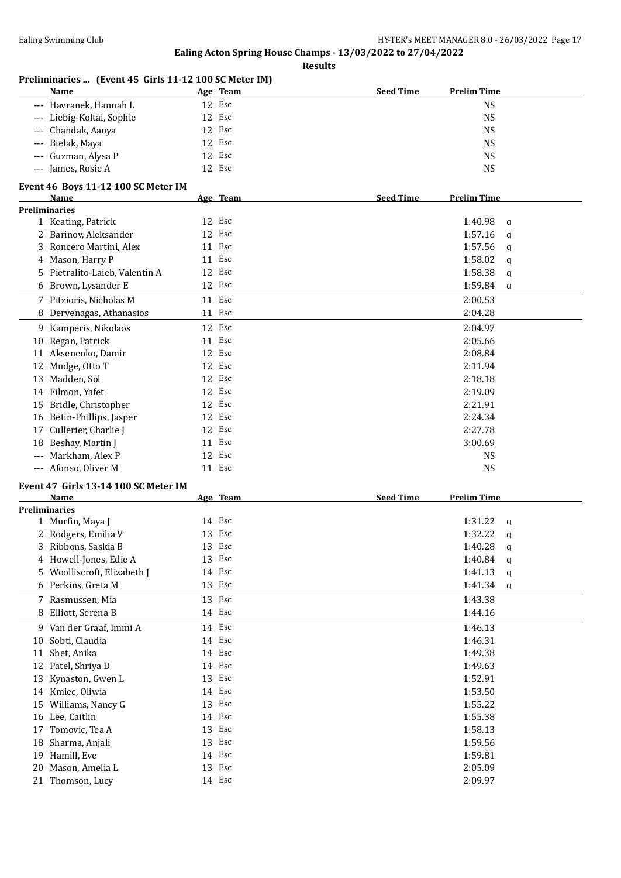**Results**

#### **Preliminaries ... (Event 45 Girls 11-12 100 SC Meter IM)**

| Name                      | Age Team | <b>Seed Time</b><br><b>Prelim Time</b> |
|---------------------------|----------|----------------------------------------|
| --- Havranek, Hannah L    | 12 Esc   | <b>NS</b>                              |
| --- Liebig-Koltai, Sophie | 12 Esc   | <b>NS</b>                              |
| --- Chandak, Aanya        | 12 Esc   | <b>NS</b>                              |
| --- Bielak, Maya          | 12 Esc   | <b>NS</b>                              |
| --- Guzman, Alysa P       | 12 Esc   | <b>NS</b>                              |
| --- James, Rosie A        | 12 Esc   | <b>NS</b>                              |
|                           |          |                                        |

#### **Event 46 Boys 11-12 100 SC Meter IM**

|                     | <b>Name</b>                          |        | Age Team | <b>Seed Time</b> | <b>Prelim Time</b> |              |
|---------------------|--------------------------------------|--------|----------|------------------|--------------------|--------------|
|                     | <b>Preliminaries</b>                 |        |          |                  |                    |              |
|                     | 1 Keating, Patrick                   | 12 Esc |          |                  | 1:40.98            | $\mathbf{q}$ |
|                     | 2 Barinov, Aleksander                | 12 Esc |          |                  | 1:57.16            | a            |
| 3                   | Roncero Martini, Alex                | 11 Esc |          |                  | 1:57.56            | a            |
|                     | 4 Mason, Harry P                     | 11 Esc |          |                  | 1:58.02            | $\mathbf q$  |
| 5.                  | Pietralito-Laieb, Valentin A         | 12 Esc |          |                  | 1:58.38            | a            |
| 6                   | Brown, Lysander E                    | 12 Esc |          |                  | 1:59.84            | $\mathbf q$  |
|                     | 7 Pitzioris, Nicholas M              | 11 Esc |          |                  | 2:00.53            |              |
|                     | Dervenagas, Athanasios               | 11 Esc |          |                  | 2:04.28            |              |
|                     | 9 Kamperis, Nikolaos                 | 12     | Esc      |                  | 2:04.97            |              |
| 10                  | Regan, Patrick                       | 11     | Esc      |                  | 2:05.66            |              |
|                     | 11 Aksenenko, Damir                  | 12     | Esc      |                  | 2:08.84            |              |
| 12                  | Mudge, Otto T                        | 12 Esc |          |                  | 2:11.94            |              |
| 13                  | Madden, Sol                          | 12     | Esc      |                  | 2:18.18            |              |
|                     | 14 Filmon, Yafet                     | 12     | Esc      |                  | 2:19.09            |              |
| 15                  | Bridle, Christopher                  | 12     | Esc      |                  | 2:21.91            |              |
| 16                  | Betin-Phillips, Jasper               | 12 Esc |          |                  | 2:24.34            |              |
| 17                  | Cullerier, Charlie J                 | 12     | Esc      |                  | 2:27.78            |              |
| 18                  | Beshay, Martin J                     | 11 Esc |          |                  | 3:00.69            |              |
|                     | Markham, Alex P                      | 12     | Esc      |                  | <b>NS</b>          |              |
| $\qquad \qquad - -$ | Afonso, Oliver M                     | 11 Esc |          |                  | <b>NS</b>          |              |
|                     | Event 47 Girls 13-14 100 SC Meter IM |        |          |                  |                    |              |
|                     | <b>Name</b>                          |        | Age Team | <b>Seed Time</b> | <b>Prelim Time</b> |              |
|                     | <b>Preliminaries</b>                 |        |          |                  |                    |              |
|                     | 1 Murfin, Maya J                     | 14     | Esc      |                  | 1:31.22            | a            |
|                     | 2 Rodgers, Emilia V                  | 13     | Esc      |                  | 1:32.22            | a            |
|                     | 3 Ribbons, Saskia B                  | 13     | Esc      |                  | 1:40.28            | a            |
|                     | 4 Howell-Jones, Edie A               | 13     | Esc      |                  | 1:40.84            | a            |
| 5.                  | Woolliscroft, Elizabeth J            | 14     | Esc      |                  | 1:41.13            | $\mathsf{q}$ |
|                     | 6 Perkins, Greta M                   | 13     | Esc      |                  | 1:41.34            | a            |
| 7                   | Rasmussen, Mia                       | 13     | Esc      |                  | 1:43.38            |              |
| 8                   | Elliott, Serena B                    | 14 Esc |          |                  | 1:44.16            |              |

9 Van der Graaf, Immi A 14 Esc 1:46.13 10 Sobti, Claudia 14 Esc 1:46.31 11 Shet, Anika 14 20 14 Esc 1:49.38 12 Patel, Shriya D 14 Esc 1:49.63 13 Kynaston, Gwen L 13 Esc 1:52.91 14 Kmiec, Oliwia 14 Esc 1:53.50 15 Williams, Nancy G 13 Esc 1:55.22 16 Lee, Caitlin 14 Esc 1:55.38 17 Tomovic, Tea A 13 Esc 1:58.13 18 Sharma, Anjali 13 Esc 1:59.56 19 Hamill, Eve 1:59.81 14 Esc 14 Esc 1:59.81 1:59.81 20 Mason, Amelia L 13 Esc 2:05.09 21 Thomson, Lucy 2:09.97 22:09.97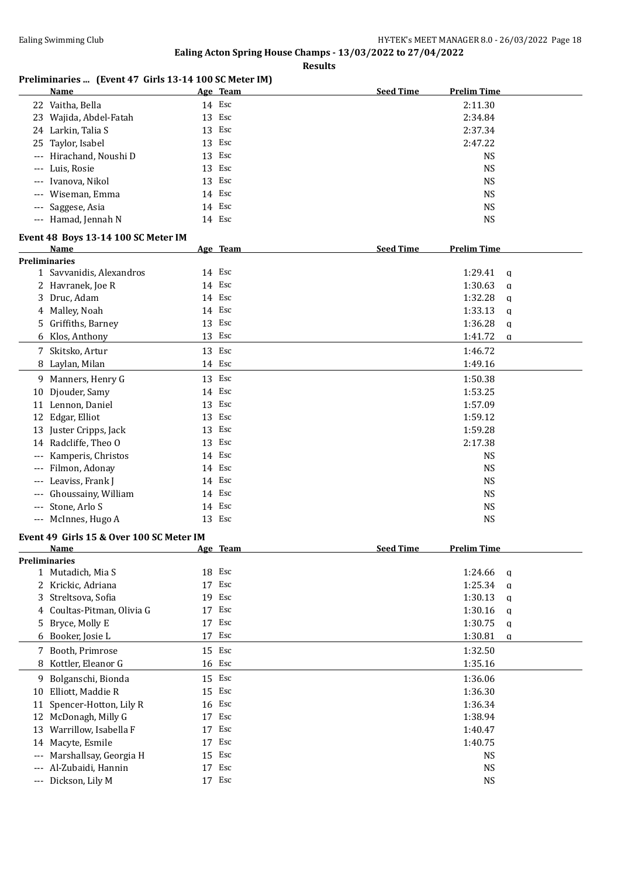**Results**

## **Preliminaries ... (Event 47 Girls 13-14 100 SC Meter IM)**

|                      | <b>Name</b>                              |    | Age Team | <b>Seed Time</b> | <b>Prelim Time</b>      |
|----------------------|------------------------------------------|----|----------|------------------|-------------------------|
|                      | 22 Vaitha, Bella                         |    | 14 Esc   |                  | 2:11.30                 |
|                      | 23 Wajida, Abdel-Fatah                   |    | 13 Esc   |                  | 2:34.84                 |
|                      | 24 Larkin, Talia S                       |    | 13 Esc   |                  | 2:37.34                 |
| 25                   | Taylor, Isabel                           |    | 13 Esc   |                  | 2:47.22                 |
| $---$                | Hirachand, Noushi D                      | 13 | Esc      |                  | <b>NS</b>               |
| $---$                | Luis, Rosie                              |    | 13 Esc   |                  | <b>NS</b>               |
|                      | Ivanova, Nikol                           |    | 13 Esc   |                  | <b>NS</b>               |
|                      | Wiseman, Emma                            |    | 14 Esc   |                  | <b>NS</b>               |
|                      | Saggese, Asia                            |    | 14 Esc   |                  | <b>NS</b>               |
|                      | --- Hamad, Jennah N                      |    | 14 Esc   |                  | <b>NS</b>               |
|                      |                                          |    |          |                  |                         |
|                      | Event 48 Boys 13-14 100 SC Meter IM      |    |          |                  |                         |
|                      | Name                                     |    | Age Team | <b>Seed Time</b> | <b>Prelim Time</b>      |
| <b>Preliminaries</b> |                                          |    |          |                  |                         |
|                      | 1 Savvanidis, Alexandros                 |    | 14 Esc   |                  | 1:29.41<br>a            |
|                      | 2 Havranek, Joe R                        |    | 14 Esc   |                  | 1:30.63<br>q            |
| 3                    | Druc, Adam                               |    | 14 Esc   |                  | 1:32.28<br>a            |
| 4                    | Malley, Noah                             |    | 14 Esc   |                  | 1:33.13<br>$\mathbf{q}$ |
| 5.                   | Griffiths, Barney                        |    | 13 Esc   |                  | 1:36.28<br>a            |
|                      | 6 Klos, Anthony                          |    | 13 Esc   |                  | 1:41.72<br>$\alpha$     |
|                      | 7 Skitsko, Artur                         |    | 13 Esc   |                  | 1:46.72                 |
| 8                    | Laylan, Milan                            |    | 14 Esc   |                  | 1:49.16                 |
|                      | 9 Manners, Henry G                       |    | 13 Esc   |                  | 1:50.38                 |
| 10                   | Djouder, Samy                            |    | 14 Esc   |                  | 1:53.25                 |
|                      | 11 Lennon, Daniel                        |    | 13 Esc   |                  | 1:57.09                 |
| 12                   | Edgar, Elliot                            |    | 13 Esc   |                  | 1:59.12                 |
|                      | 13 Juster Cripps, Jack                   |    | 13 Esc   |                  | 1:59.28                 |
|                      | 14 Radcliffe, Theo O                     | 13 | Esc      |                  | 2:17.38                 |
|                      |                                          |    | 14 Esc   |                  | <b>NS</b>               |
| $---$                | Kamperis, Christos                       |    | 14 Esc   |                  |                         |
| $---$                | Filmon, Adonay                           |    |          |                  | <b>NS</b>               |
| $---$                | Leaviss, Frank J                         |    | 14 Esc   |                  | <b>NS</b>               |
| $\qquad \qquad - -$  | Ghoussainy, William                      |    | 14 Esc   |                  | <b>NS</b>               |
| $\cdots$             | Stone, Arlo S                            |    | 14 Esc   |                  | <b>NS</b>               |
|                      | --- McInnes, Hugo A                      |    | 13 Esc   |                  | <b>NS</b>               |
|                      | Event 49 Girls 15 & Over 100 SC Meter IM |    |          |                  |                         |
|                      | <u>Name</u>                              |    | Age Team | <b>Seed Time</b> | <b>Prelim Time</b>      |
| Preliminaries        |                                          |    |          |                  |                         |
|                      | 1 Mutadich, Mia S                        |    | 18 Esc   |                  | 1:24.66<br>q            |
|                      | 2 Krickic, Adriana                       |    | 17 Esc   |                  | 1:25.34<br>$\alpha$     |
| 3                    | Streltsova, Sofia                        |    | 19 Esc   |                  | 1:30.13<br>$\alpha$     |
| 4                    | Coultas-Pitman, Olivia G                 |    | 17 Esc   |                  | 1:30.16<br>q            |
| 5                    | Bryce, Molly E                           |    | 17 Esc   |                  | 1:30.75<br>$\mathbf q$  |
| 6                    | Booker, Josie L                          | 17 | Esc      |                  | 1:30.81<br>q            |
| 7                    | Booth, Primrose                          |    | 15 Esc   |                  | 1:32.50                 |
| 8                    | Kottler, Eleanor G                       |    | 16 Esc   |                  | 1:35.16                 |
| 9.                   | Bolganschi, Bionda                       |    | 15 Esc   |                  | 1:36.06                 |
| 10                   | Elliott, Maddie R                        |    | 15 Esc   |                  | 1:36.30                 |
|                      |                                          |    | 16 Esc   |                  |                         |
| 11                   | Spencer-Hotton, Lily R                   |    |          |                  | 1:36.34                 |
|                      | 12 McDonagh, Milly G                     |    | 17 Esc   |                  | 1:38.94                 |
| 13                   | Warrillow, Isabella F                    | 17 | Esc      |                  | 1:40.47                 |
| 14                   | Macyte, Esmile                           | 17 | Esc      |                  | 1:40.75                 |
| $---$                | Marshallsay, Georgia H                   | 15 | Esc      |                  | <b>NS</b>               |
| $---$                | Al-Zubaidi, Hannin                       | 17 | Esc      |                  | <b>NS</b>               |
| $\cdots$             | Dickson, Lily M                          |    | 17 Esc   |                  | <b>NS</b>               |